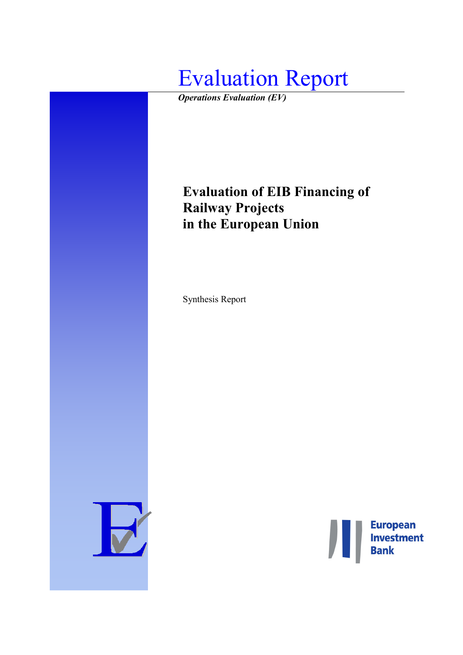

*Operations Evaluation (EV)*

# **Evaluation of EIB Financing of Railway Projects in the European Union**

Synthesis Report



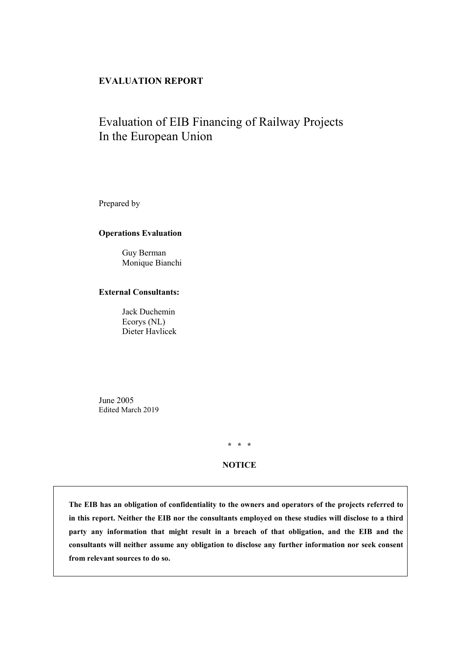# **EVALUATION REPORT**

# Evaluation of EIB Financing of Railway Projects In the European Union

Prepared by

#### **Operations Evaluation**

Guy Berman Monique Bianchi

#### **External Consultants:**

Jack Duchemin Ecorys (NL) Dieter Havlicek

June 2005 Edited March 2019

**\* \* \***

#### **NOTICE**

**The EIB has an obligation of confidentiality to the owners and operators of the projects referred to in this report. Neither the EIB nor the consultants employed on these studies will disclose to a third party any information that might result in a breach of that obligation, and the EIB and the consultants will neither assume any obligation to disclose any further information nor seek consent from relevant sources to do so.**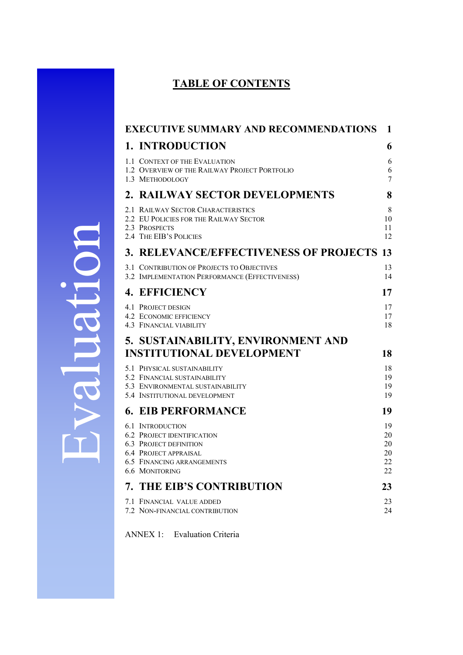# **TABLE OF CONTENTS**

| <b>EXECUTIVE SUMMARY AND RECOMMENDATIONS</b>                                                                                                                                         | 1                                |
|--------------------------------------------------------------------------------------------------------------------------------------------------------------------------------------|----------------------------------|
| 1. INTRODUCTION                                                                                                                                                                      | 6                                |
| 1.1 CONTEXT OF THE EVALUATION<br>1.2 OVERVIEW OF THE RAILWAY PROJECT PORTFOLIO<br>1.3 METHODOLOGY                                                                                    | 6<br>6<br>7                      |
| 2. RAILWAY SECTOR DEVELOPMENTS                                                                                                                                                       | 8                                |
| 2.1 RAILWAY SECTOR CHARACTERISTICS<br>2.2 EU POLICIES FOR THE RAILWAY SECTOR<br>2.3 PROSPECTS<br>2.4 THE EIB'S POLICIES                                                              | 8<br>10<br>11<br>12              |
| 3. RELEVANCE/EFFECTIVENESS OF PROJECTS 13                                                                                                                                            |                                  |
| 3.1 CONTRIBUTION OF PROJECTS TO OBJECTIVES<br>3.2 IMPLEMENTATION PERFORMANCE (EFFECTIVENESS)                                                                                         | 13<br>14                         |
| <b>4. EFFICIENCY</b>                                                                                                                                                                 | 17                               |
| 4.1 PROJECT DESIGN<br>4.2 ECONOMIC EFFICIENCY<br><b>4.3 FINANCIAL VIABILITY</b>                                                                                                      | 17<br>17<br>18                   |
| 5. SUSTAINABILITY, ENVIRONMENT AND                                                                                                                                                   |                                  |
| <b>INSTITUTIONAL DEVELOPMENT</b>                                                                                                                                                     | 18                               |
| 5.1 PHYSICAL SUSTAINABILITY<br>5.2 FINANCIAL SUSTAINABILITY<br>5.3 ENVIRONMENTAL SUSTAINABILITY<br>5.4 INSTITUTIONAL DEVELOPMENT                                                     | 18<br>19<br>19<br>19             |
| <b>6. EIB PERFORMANCE</b>                                                                                                                                                            | 19                               |
| <b>6.1 INTRODUCTION</b><br><b>6.2 PROJECT IDENTIFICATION</b><br><b>6.3 PROJECT DEFINITION</b><br><b>6.4 PROJECT APPRAISAL</b><br><b>6.5 FINANCING ARRANGEMENTS</b><br>6.6 MONITORING | 19<br>20<br>20<br>20<br>22<br>22 |
| <b>7. THE EIB'S CONTRIBUTION</b>                                                                                                                                                     | 23                               |
| 7.1 FINANCIAL VALUE ADDED<br>7.2 NON-FINANCIAL CONTRIBUTION                                                                                                                          | 23<br>24                         |

<span id="page-3-0"></span>ANNEX 1: Evaluation Criteria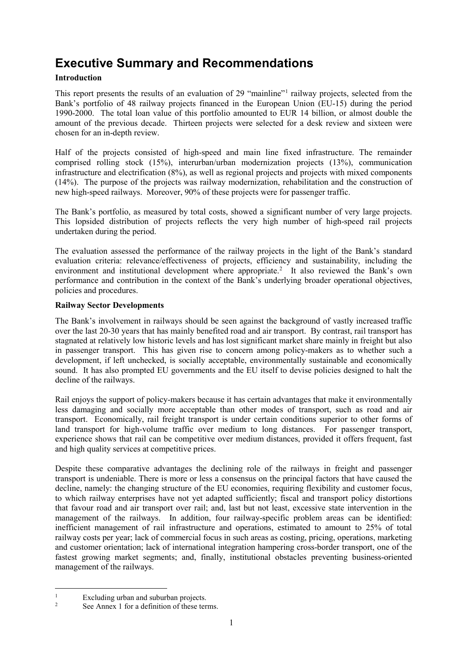# **Executive Summary and Recommendations**

# **Introduction**

This report presents the results of an evaluation of 29 "mainline"[1](#page-4-0) railway projects, selected from the Bank's portfolio of 48 railway projects financed in the European Union (EU-15) during the period 1990-2000. The total loan value of this portfolio amounted to EUR 14 billion, or almost double the amount of the previous decade. Thirteen projects were selected for a desk review and sixteen were chosen for an in-depth review.

Half of the projects consisted of high-speed and main line fixed infrastructure. The remainder comprised rolling stock (15%), interurban/urban modernization projects (13%), communication infrastructure and electrification (8%), as well as regional projects and projects with mixed components (14%). The purpose of the projects was railway modernization, rehabilitation and the construction of new high-speed railways. Moreover, 90% of these projects were for passenger traffic.

The Bank's portfolio, as measured by total costs, showed a significant number of very large projects. This lopsided distribution of projects reflects the very high number of high-speed rail projects undertaken during the period.

The evaluation assessed the performance of the railway projects in the light of the Bank's standard evaluation criteria: relevance/effectiveness of projects, efficiency and sustainability, including the environment and institutional development where appropriate.<sup>[2](#page-4-1)</sup> It also reviewed the Bank's own performance and contribution in the context of the Bank's underlying broader operational objectives, policies and procedures.

#### **Railway Sector Developments**

The Bank's involvement in railways should be seen against the background of vastly increased traffic over the last 20-30 years that has mainly benefited road and air transport. By contrast, rail transport has stagnated at relatively low historic levels and has lost significant market share mainly in freight but also in passenger transport. This has given rise to concern among policy-makers as to whether such a development, if left unchecked, is socially acceptable, environmentally sustainable and economically sound. It has also prompted EU governments and the EU itself to devise policies designed to halt the decline of the railways.

Rail enjoys the support of policy-makers because it has certain advantages that make it environmentally less damaging and socially more acceptable than other modes of transport, such as road and air transport. Economically, rail freight transport is under certain conditions superior to other forms of land transport for high-volume traffic over medium to long distances. For passenger transport, experience shows that rail can be competitive over medium distances, provided it offers frequent, fast and high quality services at competitive prices.

Despite these comparative advantages the declining role of the railways in freight and passenger transport is undeniable. There is more or less a consensus on the principal factors that have caused the decline, namely: the changing structure of the EU economies, requiring flexibility and customer focus, to which railway enterprises have not yet adapted sufficiently; fiscal and transport policy distortions that favour road and air transport over rail; and, last but not least, excessive state intervention in the management of the railways. In addition, four railway-specific problem areas can be identified: inefficient management of rail infrastructure and operations, estimated to amount to 25% of total railway costs per year; lack of commercial focus in such areas as costing, pricing, operations, marketing and customer orientation; lack of international integration hampering cross-border transport, one of the fastest growing market segments; and, finally, institutional obstacles preventing business-oriented management of the railways.

<span id="page-4-1"></span><span id="page-4-0"></span> $\frac{1}{2}$  Excluding urban and suburban projects.

See Annex 1 for a definition of these terms.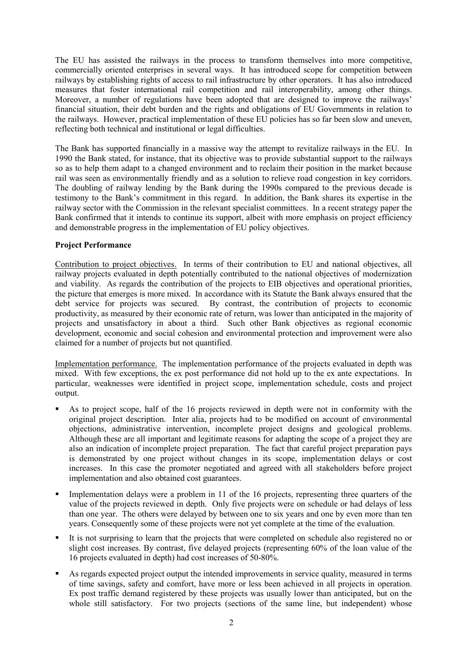The EU has assisted the railways in the process to transform themselves into more competitive, commercially oriented enterprises in several ways. It has introduced scope for competition between railways by establishing rights of access to rail infrastructure by other operators. It has also introduced measures that foster international rail competition and rail interoperability, among other things. Moreover, a number of regulations have been adopted that are designed to improve the railways' financial situation, their debt burden and the rights and obligations of EU Governments in relation to the railways. However, practical implementation of these EU policies has so far been slow and uneven, reflecting both technical and institutional or legal difficulties.

The Bank has supported financially in a massive way the attempt to revitalize railways in the EU. In 1990 the Bank stated, for instance, that its objective was to provide substantial support to the railways so as to help them adapt to a changed environment and to reclaim their position in the market because rail was seen as environmentally friendly and as a solution to relieve road congestion in key corridors. The doubling of railway lending by the Bank during the 1990s compared to the previous decade is testimony to the Bank's commitment in this regard. In addition, the Bank shares its expertise in the railway sector with the Commission in the relevant specialist committees. In a recent strategy paper the Bank confirmed that it intends to continue its support, albeit with more emphasis on project efficiency and demonstrable progress in the implementation of EU policy objectives.

#### **Project Performance**

Contribution to project objectives. In terms of their contribution to EU and national objectives, all railway projects evaluated in depth potentially contributed to the national objectives of modernization and viability. As regards the contribution of the projects to EIB objectives and operational priorities, the picture that emerges is more mixed. In accordance with its Statute the Bank always ensured that the debt service for projects was secured. By contrast, the contribution of projects to economic productivity, as measured by their economic rate of return, was lower than anticipated in the majority of projects and unsatisfactory in about a third. Such other Bank objectives as regional economic development, economic and social cohesion and environmental protection and improvement were also claimed for a number of projects but not quantified.

Implementation performance. The implementation performance of the projects evaluated in depth was mixed. With few exceptions, the ex post performance did not hold up to the ex ante expectations. In particular, weaknesses were identified in project scope, implementation schedule, costs and project output.

- As to project scope, half of the 16 projects reviewed in depth were not in conformity with the original project description. Inter alia, projects had to be modified on account of environmental objections, administrative intervention, incomplete project designs and geological problems. Although these are all important and legitimate reasons for adapting the scope of a project they are also an indication of incomplete project preparation. The fact that careful project preparation pays is demonstrated by one project without changes in its scope, implementation delays or cost increases. In this case the promoter negotiated and agreed with all stakeholders before project implementation and also obtained cost guarantees.
- Implementation delays were a problem in 11 of the 16 projects, representing three quarters of the value of the projects reviewed in depth. Only five projects were on schedule or had delays of less than one year. The others were delayed by between one to six years and one by even more than ten years. Consequently some of these projects were not yet complete at the time of the evaluation.
- It is not surprising to learn that the projects that were completed on schedule also registered no or slight cost increases. By contrast, five delayed projects (representing 60% of the loan value of the 16 projects evaluated in depth) had cost increases of 50-80%.
- As regards expected project output the intended improvements in service quality, measured in terms of time savings, safety and comfort, have more or less been achieved in all projects in operation. Ex post traffic demand registered by these projects was usually lower than anticipated, but on the whole still satisfactory. For two projects (sections of the same line, but independent) whose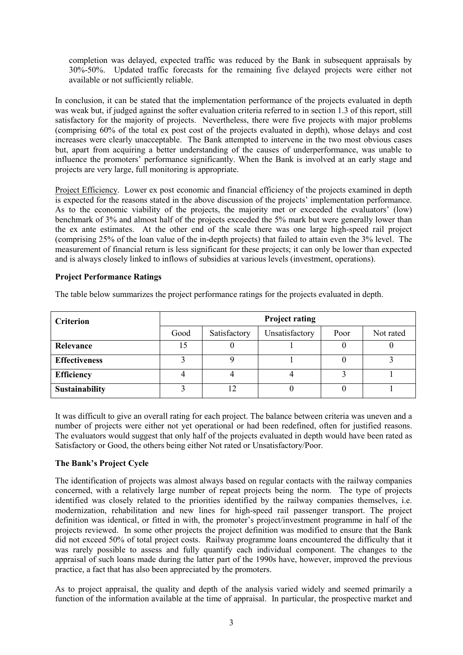completion was delayed, expected traffic was reduced by the Bank in subsequent appraisals by 30%-50%. Updated traffic forecasts for the remaining five delayed projects were either not available or not sufficiently reliable.

In conclusion, it can be stated that the implementation performance of the projects evaluated in depth was weak but, if judged against the softer evaluation criteria referred to in section 1.3 of this report, still satisfactory for the majority of projects. Nevertheless, there were five projects with major problems (comprising 60% of the total ex post cost of the projects evaluated in depth), whose delays and cost increases were clearly unacceptable. The Bank attempted to intervene in the two most obvious cases but, apart from acquiring a better understanding of the causes of underperformance, was unable to influence the promoters' performance significantly. When the Bank is involved at an early stage and projects are very large, full monitoring is appropriate.

Project Efficiency. Lower ex post economic and financial efficiency of the projects examined in depth is expected for the reasons stated in the above discussion of the projects' implementation performance. As to the economic viability of the projects, the majority met or exceeded the evaluators' (low) benchmark of 3% and almost half of the projects exceeded the 5% mark but were generally lower than the ex ante estimates. At the other end of the scale there was one large high-speed rail project (comprising 25% of the loan value of the in-depth projects) that failed to attain even the 3% level. The measurement of financial return is less significant for these projects; it can only be lower than expected and is always closely linked to inflows of subsidies at various levels (investment, operations).

#### **Project Performance Ratings**

The table below summarizes the project performance ratings for the projects evaluated in depth.

| <b>Criterion</b>      | <b>Project rating</b> |              |                |      |           |  |  |
|-----------------------|-----------------------|--------------|----------------|------|-----------|--|--|
|                       | Good                  | Satisfactory | Unsatisfactory | Poor | Not rated |  |  |
| Relevance             |                       |              |                |      |           |  |  |
| <b>Effectiveness</b>  |                       |              |                |      |           |  |  |
| <b>Efficiency</b>     |                       |              |                |      |           |  |  |
| <b>Sustainability</b> |                       |              |                |      |           |  |  |

It was difficult to give an overall rating for each project. The balance between criteria was uneven and a number of projects were either not yet operational or had been redefined, often for justified reasons. The evaluators would suggest that only half of the projects evaluated in depth would have been rated as Satisfactory or Good, the others being either Not rated or Unsatisfactory/Poor.

#### **The Bank's Project Cycle**

The identification of projects was almost always based on regular contacts with the railway companies concerned, with a relatively large number of repeat projects being the norm. The type of projects identified was closely related to the priorities identified by the railway companies themselves, i.e. modernization, rehabilitation and new lines for high-speed rail passenger transport. The project definition was identical, or fitted in with, the promoter's project/investment programme in half of the projects reviewed. In some other projects the project definition was modified to ensure that the Bank did not exceed 50% of total project costs. Railway programme loans encountered the difficulty that it was rarely possible to assess and fully quantify each individual component. The changes to the appraisal of such loans made during the latter part of the 1990s have, however, improved the previous practice, a fact that has also been appreciated by the promoters.

As to project appraisal, the quality and depth of the analysis varied widely and seemed primarily a function of the information available at the time of appraisal. In particular, the prospective market and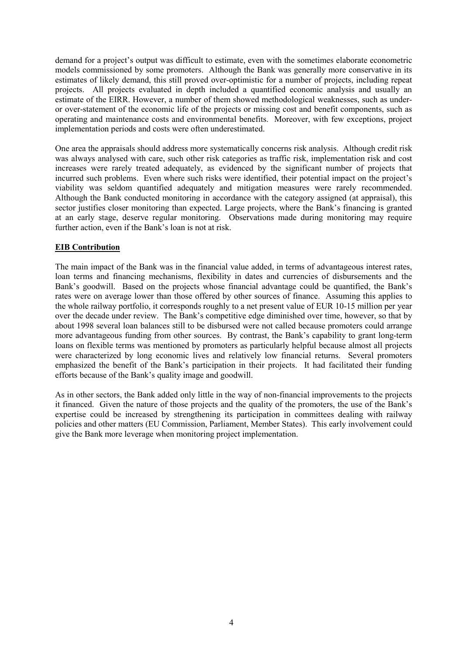demand for a project's output was difficult to estimate, even with the sometimes elaborate econometric models commissioned by some promoters. Although the Bank was generally more conservative in its estimates of likely demand, this still proved over-optimistic for a number of projects, including repeat projects. All projects evaluated in depth included a quantified economic analysis and usually an estimate of the EIRR. However, a number of them showed methodological weaknesses, such as underor over-statement of the economic life of the projects or missing cost and benefit components, such as operating and maintenance costs and environmental benefits. Moreover, with few exceptions, project implementation periods and costs were often underestimated.

One area the appraisals should address more systematically concerns risk analysis. Although credit risk was always analysed with care, such other risk categories as traffic risk, implementation risk and cost increases were rarely treated adequately, as evidenced by the significant number of projects that incurred such problems. Even where such risks were identified, their potential impact on the project's viability was seldom quantified adequately and mitigation measures were rarely recommended. Although the Bank conducted monitoring in accordance with the category assigned (at appraisal), this sector justifies closer monitoring than expected. Large projects, where the Bank's financing is granted at an early stage, deserve regular monitoring. Observations made during monitoring may require further action, even if the Bank's loan is not at risk.

#### **EIB Contribution**

The main impact of the Bank was in the financial value added, in terms of advantageous interest rates, loan terms and financing mechanisms, flexibility in dates and currencies of disbursements and the Bank's goodwill. Based on the projects whose financial advantage could be quantified, the Bank's rates were on average lower than those offered by other sources of finance. Assuming this applies to the whole railway portfolio, it corresponds roughly to a net present value of EUR 10-15 million per year over the decade under review. The Bank's competitive edge diminished over time, however, so that by about 1998 several loan balances still to be disbursed were not called because promoters could arrange more advantageous funding from other sources. By contrast, the Bank's capability to grant long-term loans on flexible terms was mentioned by promoters as particularly helpful because almost all projects were characterized by long economic lives and relatively low financial returns. Several promoters emphasized the benefit of the Bank's participation in their projects. It had facilitated their funding efforts because of the Bank's quality image and goodwill.

As in other sectors, the Bank added only little in the way of non-financial improvements to the projects it financed. Given the nature of those projects and the quality of the promoters, the use of the Bank's expertise could be increased by strengthening its participation in committees dealing with railway policies and other matters (EU Commission, Parliament, Member States). This early involvement could give the Bank more leverage when monitoring project implementation.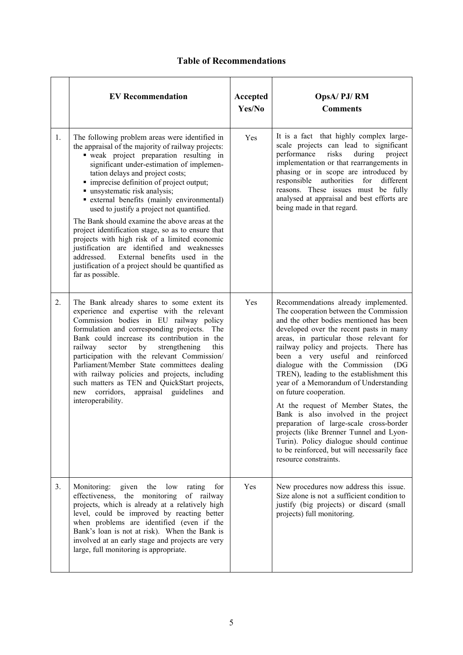# **Table of Recommendations**

|    | <b>EV Recommendation</b>                                                                                                                                                                                                                                                                                                                                                                                                                                                                                                                                                                                                                                                                                                                   | Accepted<br>Yes/No | OpsA/PJ/RM<br><b>Comments</b>                                                                                                                                                                                                                                                                                                                                                                                                                                                                                                                                                                                                                                                                                                                 |
|----|--------------------------------------------------------------------------------------------------------------------------------------------------------------------------------------------------------------------------------------------------------------------------------------------------------------------------------------------------------------------------------------------------------------------------------------------------------------------------------------------------------------------------------------------------------------------------------------------------------------------------------------------------------------------------------------------------------------------------------------------|--------------------|-----------------------------------------------------------------------------------------------------------------------------------------------------------------------------------------------------------------------------------------------------------------------------------------------------------------------------------------------------------------------------------------------------------------------------------------------------------------------------------------------------------------------------------------------------------------------------------------------------------------------------------------------------------------------------------------------------------------------------------------------|
| 1. | The following problem areas were identified in<br>the appraisal of the majority of railway projects:<br>• weak project preparation resulting in<br>significant under-estimation of implemen-<br>tation delays and project costs;<br>• imprecise definition of project output;<br>· unsystematic risk analysis;<br>• external benefits (mainly environmental)<br>used to justify a project not quantified.<br>The Bank should examine the above areas at the<br>project identification stage, so as to ensure that<br>projects with high risk of a limited economic<br>justification are identified and weaknesses<br>External benefits used in the<br>addressed.<br>justification of a project should be quantified as<br>far as possible. | Yes                | It is a fact that highly complex large-<br>scale projects can lead to significant<br>performance<br>risks<br>during<br>project<br>implementation or that rearrangements in<br>phasing or in scope are introduced by<br>responsible<br>authorities<br>for<br>different<br>reasons. These issues must be fully<br>analysed at appraisal and best efforts are<br>being made in that regard.                                                                                                                                                                                                                                                                                                                                                      |
| 2. | The Bank already shares to some extent its<br>experience and expertise with the relevant<br>Commission bodies in EU railway policy<br>formulation and corresponding projects.<br>The<br>Bank could increase its contribution in the<br>railway<br>by<br>sector<br>strengthening<br>this<br>participation with the relevant Commission/<br>Parliament/Member State committees dealing<br>with railway policies and projects, including<br>such matters as TEN and QuickStart projects,<br>appraisal guidelines<br>new corridors,<br>and<br>interoperability.                                                                                                                                                                                | Yes                | Recommendations already implemented.<br>The cooperation between the Commission<br>and the other bodies mentioned has been<br>developed over the recent pasts in many<br>areas, in particular those relevant for<br>railway policy and projects. There has<br>been a very useful and reinforced<br>dialogue with the Commission<br>(DG<br>TREN), leading to the establishment this<br>year of a Memorandum of Understanding<br>on future cooperation.<br>At the request of Member States, the<br>Bank is also involved in the project<br>preparation of large-scale cross-border<br>projects (like Brenner Tunnel and Lyon-<br>Turin). Policy dialogue should continue<br>to be reinforced, but will necessarily face<br>resource constraints. |
| 3. | given the low<br>Monitoring:<br>rating<br>for<br>effectiveness, the monitoring<br>of railway<br>projects, which is already at a relatively high<br>level, could be improved by reacting better<br>when problems are identified (even if the<br>Bank's loan is not at risk). When the Bank is<br>involved at an early stage and projects are very<br>large, full monitoring is appropriate.                                                                                                                                                                                                                                                                                                                                                 | Yes                | New procedures now address this issue.<br>Size alone is not a sufficient condition to<br>justify (big projects) or discard (small<br>projects) full monitoring.                                                                                                                                                                                                                                                                                                                                                                                                                                                                                                                                                                               |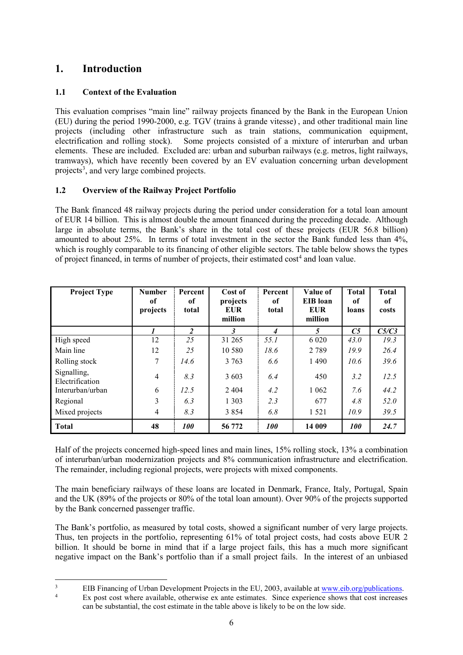# <span id="page-9-0"></span>**1. Introduction**

# <span id="page-9-1"></span>**1.1 Context of the Evaluation**

This evaluation comprises "main line" railway projects financed by the Bank in the European Union (EU) during the period 1990-2000, e.g. TGV (trains à grande vitesse) , and other traditional main line projects (including other infrastructure such as train stations, communication equipment, electrification and rolling stock). Some projects consisted of a mixture of interurban and urban Some projects consisted of a mixture of interurban and urban elements. These are included. Excluded are: urban and suburban railways (e.g. metros, light railways, tramways), which have recently been covered by an EV evaluation concerning urban development projects<sup>[3](#page-9-3)</sup>, and very large combined projects.

# <span id="page-9-2"></span>**1.2 Overview of the Railway Project Portfolio**

The Bank financed 48 railway projects during the period under consideration for a total loan amount of EUR 14 billion. This is almost double the amount financed during the preceding decade. Although large in absolute terms, the Bank's share in the total cost of these projects (EUR 56.8 billion) amounted to about 25%. In terms of total investment in the sector the Bank funded less than 4%, which is roughly comparable to its financing of other eligible sectors. The table below shows the types of project financed, in terms of number of projects, their estimated cost<sup>4</sup> and loan value.

| <b>Project Type</b>            | <b>Number</b><br>of<br>projects | Percent<br>0f<br>total | Cost of<br>projects<br>EUR<br>million | Percent<br>of<br>total | Value of<br><b>EIB</b> loan<br><b>EUR</b><br>million | <b>Total</b><br>of<br>loans | <b>Total</b><br><sub>of</sub><br>costs |
|--------------------------------|---------------------------------|------------------------|---------------------------------------|------------------------|------------------------------------------------------|-----------------------------|----------------------------------------|
|                                |                                 | 2                      | 3                                     | 4                      | 5                                                    | C <sub>5</sub>              | C5/C3                                  |
| High speed                     | 12                              | 25                     | 31 265                                | 55.1                   | 6 0 20                                               | 43.0                        | 19.3                                   |
| Main line                      | 12                              | 25                     | 10 5 8 0                              | 18.6                   | 2789                                                 | 19.9                        | 26.4                                   |
| Rolling stock                  | 7                               | 14.6                   | 3 7 6 3                               | 6.6                    | 1490                                                 | 10.6                        | 39.6                                   |
| Signalling,<br>Electrification | $\overline{4}$                  | 8.3                    | 3 603                                 | 6.4                    | 450                                                  | 3.2                         | 12.5                                   |
| Interurban/urban               | 6                               | 12.5                   | 2 4 0 4                               | 4.2                    | 1 0 6 2                                              | 7.6                         | 44.2                                   |
| Regional                       | 3                               | 6.3                    | 1 3 0 3                               | 2.3                    | 677                                                  | 4.8                         | 52.0                                   |
| Mixed projects                 | 4                               | 8.3                    | 3 8 5 4                               | 6.8                    | 1 5 2 1                                              | 10.9                        | 39.5                                   |
| <b>Total</b>                   | 48                              | <i>100</i>             | 56 772                                | <i>100</i>             | 14 009                                               | <i>100</i>                  | 24.7                                   |

Half of the projects concerned high-speed lines and main lines, 15% rolling stock, 13% a combination of interurban/urban modernization projects and 8% communication infrastructure and electrification. The remainder, including regional projects, were projects with mixed components.

The main beneficiary railways of these loans are located in Denmark, France, Italy, Portugal, Spain and the UK (89% of the projects or 80% of the total loan amount). Over 90% of the projects supported by the Bank concerned passenger traffic.

The Bank's portfolio, as measured by total costs, showed a significant number of very large projects. Thus, ten projects in the portfolio, representing 61% of total project costs, had costs above EUR 2 billion. It should be borne in mind that if a large project fails, this has a much more significant negative impact on the Bank's portfolio than if a small project fails. In the interest of an unbiased

<span id="page-9-4"></span><span id="page-9-3"></span><sup>&</sup>lt;sup>3</sup> EIB Financing of Urban Development Projects in the EU, 2003, available at www.eib.org/publications.<br><sup>4</sup> Ex post cost where available, otherwise ex ante estimates. Since experience shows that cost increases can be substantial, the cost estimate in the table above is likely to be on the low side.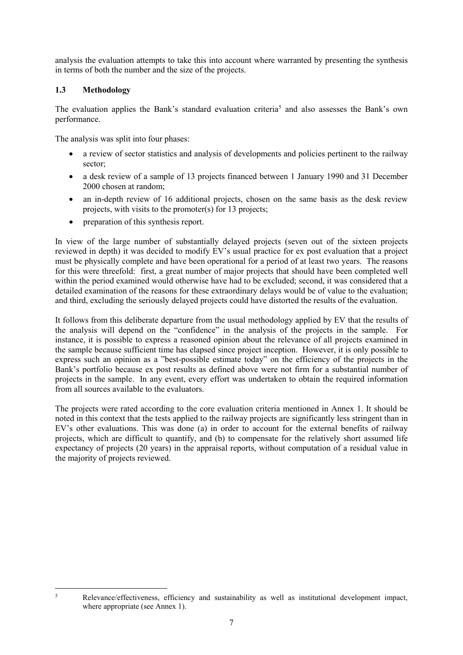analysis the evaluation attempts to take this into account where warranted by presenting the synthesis in terms of both the number and the size of the projects.

### <span id="page-10-0"></span>**1.3 Methodology**

The evaluation applies the Bank's standard evaluation criteria<sup>5</sup> and also assesses the Bank's own performance.

The analysis was split into four phases:

- a review of sector statistics and analysis of developments and policies pertinent to the railway sector;
- a desk review of a sample of 13 projects financed between 1 January 1990 and 31 December 2000 chosen at random;
- an in-depth review of 16 additional projects, chosen on the same basis as the desk review projects, with visits to the promoter(s) for 13 projects;
- preparation of this synthesis report.

In view of the large number of substantially delayed projects (seven out of the sixteen projects reviewed in depth) it was decided to modify EV's usual practice for ex post evaluation that a project must be physically complete and have been operational for a period of at least two years. The reasons for this were threefold: first, a great number of major projects that should have been completed well within the period examined would otherwise have had to be excluded; second, it was considered that a detailed examination of the reasons for these extraordinary delays would be of value to the evaluation; and third, excluding the seriously delayed projects could have distorted the results of the evaluation.

It follows from this deliberate departure from the usual methodology applied by EV that the results of the analysis will depend on the "confidence" in the analysis of the projects in the sample. For instance, it is possible to express a reasoned opinion about the relevance of all projects examined in the sample because sufficient time has elapsed since project inception. However, it is only possible to express such an opinion as a "best-possible estimate today" on the efficiency of the projects in the Bank's portfolio because ex post results as defined above were not firm for a substantial number of projects in the sample. In any event, every effort was undertaken to obtain the required information from all sources available to the evaluators.

The projects were rated according to the core evaluation criteria mentioned in Annex 1. It should be noted in this context that the tests applied to the railway projects are significantly less stringent than in EV's other evaluations. This was done (a) in order to account for the external benefits of railway projects, which are difficult to quantify, and (b) to compensate for the relatively short assumed life expectancy of projects (20 years) in the appraisal reports, without computation of a residual value in the majority of projects reviewed.

<span id="page-10-1"></span> <sup>5</sup> Relevance/effectiveness, efficiency and sustainability as well as institutional development impact, where appropriate (see Annex 1).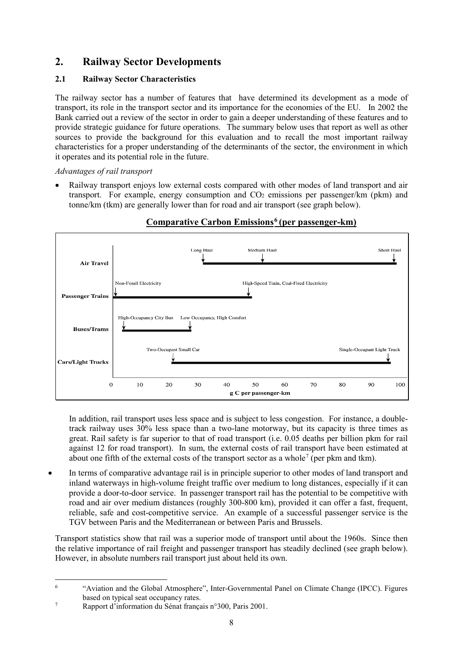# <span id="page-11-0"></span>**2. Railway Sector Developments**

# <span id="page-11-1"></span>**2.1 Railway Sector Characteristics**

The railway sector has a number of features that have determined its development as a mode of transport, its role in the transport sector and its importance for the economies of the EU. In 2002 the Bank carried out a review of the sector in order to gain a deeper understanding of these features and to provide strategic guidance for future operations. The summary below uses that report as well as other sources to provide the background for this evaluation and to recall the most important railway characteristics for a proper understanding of the determinants of the sector, the environment in which it operates and its potential role in the future.

# *Advantages of rail transport*

• Railway transport enjoys low external costs compared with other modes of land transport and air transport. For example, energy consumption and  $CO<sub>2</sub>$  emissions per passenger/km (pkm) and tonne/km (tkm) are generally lower than for road and air transport (see graph below).



# **Comparative Carbon Emissions[6](#page-11-2) (per passenger-km)**

In addition, rail transport uses less space and is subject to less congestion. For instance, a doubletrack railway uses 30% less space than a two-lane motorway, but its capacity is three times as great. Rail safety is far superior to that of road transport (i.e. 0.05 deaths per billion pkm for rail against 12 for road transport). In sum, the external costs of rail transport have been estimated at about one fifth of the external costs of the transport sector as a whole<sup>[7](#page-11-3)</sup> (per pkm and tkm).

• In terms of comparative advantage rail is in principle superior to other modes of land transport and inland waterways in high-volume freight traffic over medium to long distances, especially if it can provide a door-to-door service. In passenger transport rail has the potential to be competitive with road and air over medium distances (roughly 300-800 km), provided it can offer a fast, frequent, reliable, safe and cost-competitive service. An example of a successful passenger service is the TGV between Paris and the Mediterranean or between Paris and Brussels.

Transport statistics show that rail was a superior mode of transport until about the 1960s. Since then the relative importance of rail freight and passenger transport has steadily declined (see graph below). However, in absolute numbers rail transport just about held its own.

<span id="page-11-2"></span> <sup>6</sup> "Aviation and the Global Atmosphere", Inter-Governmental Panel on Climate Change (IPCC). Figures based on typical seat occupancy rates.

<span id="page-11-3"></span><sup>7</sup> Rapport d'information du Sénat français n°300, Paris 2001.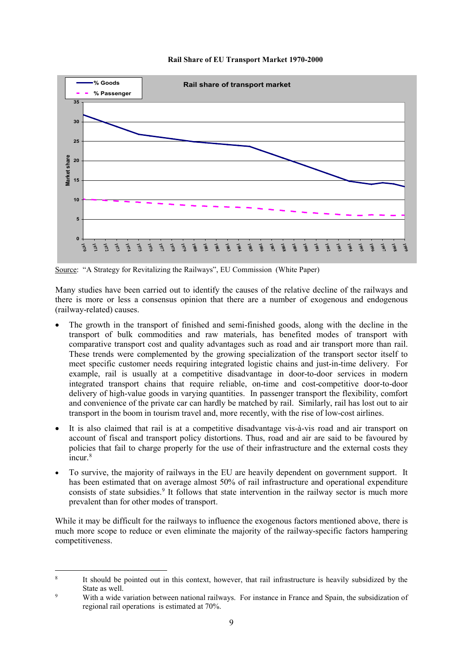#### **Rail Share of EU Transport Market 1970-2000**



Source: "A Strategy for Revitalizing the Railways", EU Commission (White Paper)

Many studies have been carried out to identify the causes of the relative decline of the railways and there is more or less a consensus opinion that there are a number of exogenous and endogenous (railway-related) causes.

- The growth in the transport of finished and semi-finished goods, along with the decline in the transport of bulk commodities and raw materials, has benefited modes of transport with comparative transport cost and quality advantages such as road and air transport more than rail. These trends were complemented by the growing specialization of the transport sector itself to meet specific customer needs requiring integrated logistic chains and just-in-time delivery. For example, rail is usually at a competitive disadvantage in door-to-door services in modern integrated transport chains that require reliable, on-time and cost-competitive door-to-door delivery of high-value goods in varying quantities. In passenger transport the flexibility, comfort and convenience of the private car can hardly be matched by rail. Similarly, rail has lost out to air transport in the boom in tourism travel and, more recently, with the rise of low-cost airlines.
- It is also claimed that rail is at a competitive disadvantage vis-à-vis road and air transport on account of fiscal and transport policy distortions. Thus, road and air are said to be favoured by policies that fail to charge properly for the use of their infrastructure and the external costs they  $\frac{1}{2}$ incur.<sup>[8](#page-12-0)</sup>
- To survive, the majority of railways in the EU are heavily dependent on government support. It has been estimated that on average almost 50% of rail infrastructure and operational expenditure consists of state subsidies.<sup>9</sup> It follows that state intervention in the railway sector is much more prevalent than for other modes of transport.

While it may be difficult for the railways to influence the exogenous factors mentioned above, there is much more scope to reduce or even eliminate the majority of the railway-specific factors hampering competitiveness.

<span id="page-12-0"></span><sup>&</sup>lt;sup>8</sup> It should be pointed out in this context, however, that rail infrastructure is heavily subsidized by the State as well.

<span id="page-12-1"></span><sup>&</sup>lt;sup>9</sup> With a wide variation between national railways. For instance in France and Spain, the subsidization of regional rail operations is estimated at 70%.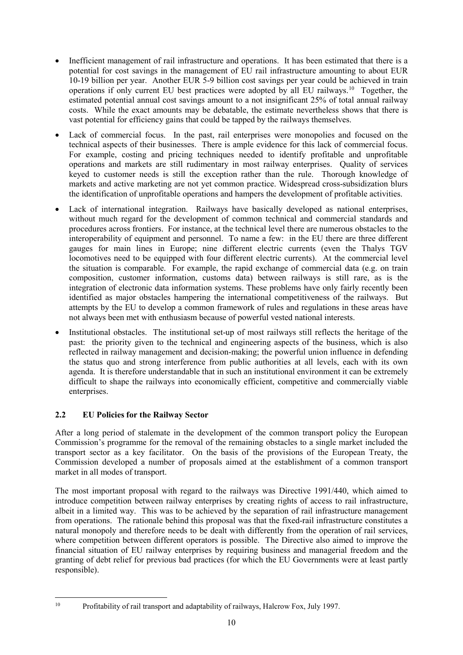- Inefficient management of rail infrastructure and operations. It has been estimated that there is a potential for cost savings in the management of EU rail infrastructure amounting to about EUR 10-19 billion per year. Another EUR 5-9 billion cost savings per year could be achieved in train operations if only current EU best practices were adopted by all EU railways.[10](#page-13-1) Together, the estimated potential annual cost savings amount to a not insignificant 25% of total annual railway costs. While the exact amounts may be debatable, the estimate nevertheless shows that there is vast potential for efficiency gains that could be tapped by the railways themselves.
- Lack of commercial focus. In the past, rail enterprises were monopolies and focused on the technical aspects of their businesses. There is ample evidence for this lack of commercial focus. For example, costing and pricing techniques needed to identify profitable and unprofitable operations and markets are still rudimentary in most railway enterprises. Quality of services keyed to customer needs is still the exception rather than the rule. Thorough knowledge of markets and active marketing are not yet common practice. Widespread cross-subsidization blurs the identification of unprofitable operations and hampers the development of profitable activities.
- Lack of international integration. Railways have basically developed as national enterprises, without much regard for the development of common technical and commercial standards and procedures across frontiers. For instance, at the technical level there are numerous obstacles to the interoperability of equipment and personnel. To name a few: in the EU there are three different gauges for main lines in Europe; nine different electric currents (even the Thalys TGV locomotives need to be equipped with four different electric currents). At the commercial level the situation is comparable. For example, the rapid exchange of commercial data (e.g. on train composition, customer information, customs data) between railways is still rare, as is the integration of electronic data information systems. These problems have only fairly recently been identified as major obstacles hampering the international competitiveness of the railways. But attempts by the EU to develop a common framework of rules and regulations in these areas have not always been met with enthusiasm because of powerful vested national interests.
- Institutional obstacles. The institutional set-up of most railways still reflects the heritage of the past: the priority given to the technical and engineering aspects of the business, which is also reflected in railway management and decision-making; the powerful union influence in defending the status quo and strong interference from public authorities at all levels, each with its own agenda. It is therefore understandable that in such an institutional environment it can be extremely difficult to shape the railways into economically efficient, competitive and commercially viable enterprises.

# <span id="page-13-0"></span>**2.2 EU Policies for the Railway Sector**

After a long period of stalemate in the development of the common transport policy the European Commission's programme for the removal of the remaining obstacles to a single market included the transport sector as a key facilitator. On the basis of the provisions of the European Treaty, the Commission developed a number of proposals aimed at the establishment of a common transport market in all modes of transport.

The most important proposal with regard to the railways was Directive 1991/440, which aimed to introduce competition between railway enterprises by creating rights of access to rail infrastructure, albeit in a limited way. This was to be achieved by the separation of rail infrastructure management from operations. The rationale behind this proposal was that the fixed-rail infrastructure constitutes a natural monopoly and therefore needs to be dealt with differently from the operation of rail services, where competition between different operators is possible. The Directive also aimed to improve the financial situation of EU railway enterprises by requiring business and managerial freedom and the granting of debt relief for previous bad practices (for which the EU Governments were at least partly responsible).

<span id="page-13-1"></span> <sup>10</sup> Profitability of rail transport and adaptability of railways, Halcrow Fox, July 1997.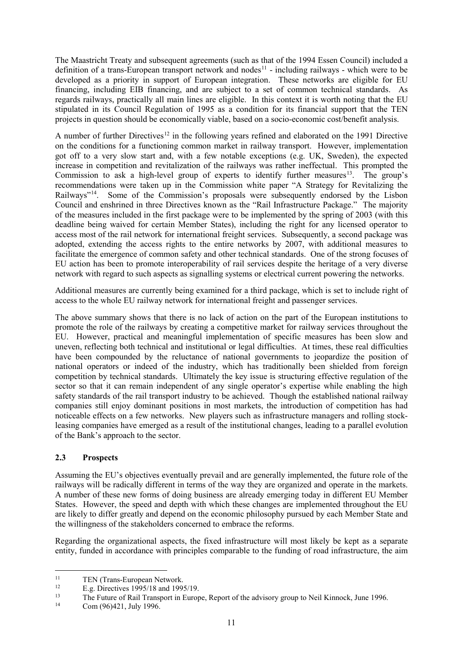The Maastricht Treaty and subsequent agreements (such as that of the 1994 Essen Council) included a definition of a trans-European transport network and nodes<sup>[11](#page-14-1)</sup> - including railways - which were to be developed as a priority in support of European integration. These networks are eligible for EU financing, including EIB financing, and are subject to a set of common technical standards. As regards railways, practically all main lines are eligible. In this context it is worth noting that the EU stipulated in its Council Regulation of 1995 as a condition for its financial support that the TEN projects in question should be economically viable, based on a socio-economic cost/benefit analysis.

A number of further Directives<sup>[12](#page-14-2)</sup> in the following years refined and elaborated on the 1991 Directive on the conditions for a functioning common market in railway transport. However, implementation got off to a very slow start and, with a few notable exceptions (e.g. UK, Sweden), the expected increase in competition and revitalization of the railways was rather ineffectual. This prompted the Commission to ask a high-level group of experts to identify further measures<sup>[13](#page-14-3)</sup>. The group's recommendations were taken up in the Commission white paper "A Strategy for Revitalizing the Railways"[14](#page-14-4). Some of the Commission's proposals were subsequently endorsed by the Lisbon Council and enshrined in three Directives known as the "Rail Infrastructure Package." The majority of the measures included in the first package were to be implemented by the spring of 2003 (with this deadline being waived for certain Member States), including the right for any licensed operator to access most of the rail network for international freight services. Subsequently, a second package was adopted, extending the access rights to the entire networks by 2007, with additional measures to facilitate the emergence of common safety and other technical standards. One of the strong focuses of EU action has been to promote interoperability of rail services despite the heritage of a very diverse network with regard to such aspects as signalling systems or electrical current powering the networks.

Additional measures are currently being examined for a third package, which is set to include right of access to the whole EU railway network for international freight and passenger services.

The above summary shows that there is no lack of action on the part of the European institutions to promote the role of the railways by creating a competitive market for railway services throughout the EU. However, practical and meaningful implementation of specific measures has been slow and uneven, reflecting both technical and institutional or legal difficulties. At times, these real difficulties have been compounded by the reluctance of national governments to jeopardize the position of national operators or indeed of the industry, which has traditionally been shielded from foreign competition by technical standards. Ultimately the key issue is structuring effective regulation of the sector so that it can remain independent of any single operator's expertise while enabling the high safety standards of the rail transport industry to be achieved. Though the established national railway companies still enjoy dominant positions in most markets, the introduction of competition has had noticeable effects on a few networks. New players such as infrastructure managers and rolling stockleasing companies have emerged as a result of the institutional changes, leading to a parallel evolution of the Bank's approach to the sector.

#### <span id="page-14-0"></span>**2.3 Prospects**

Assuming the EU's objectives eventually prevail and are generally implemented, the future role of the railways will be radically different in terms of the way they are organized and operate in the markets. A number of these new forms of doing business are already emerging today in different EU Member States. However, the speed and depth with which these changes are implemented throughout the EU are likely to differ greatly and depend on the economic philosophy pursued by each Member State and the willingness of the stakeholders concerned to embrace the reforms.

Regarding the organizational aspects, the fixed infrastructure will most likely be kept as a separate entity, funded in accordance with principles comparable to the funding of road infrastructure, the aim

<span id="page-14-2"></span><span id="page-14-1"></span><sup>11</sup> TEN (Trans-European Network.<br>
12 E.g. Directives 1995/18 and 1995/19.<br>
13 The Eutume of Dail Transport in Europe

<span id="page-14-3"></span><sup>&</sup>lt;sup>13</sup> The Future of Rail Transport in Europe, Report of the advisory group to Neil Kinnock, June 1996.<br><sup>14</sup> Cam (06)421 July 1006

<span id="page-14-4"></span>Com (96)421, July 1996.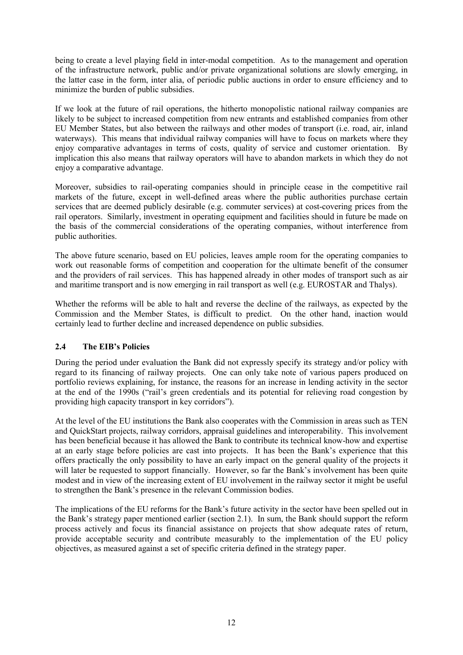being to create a level playing field in inter-modal competition. As to the management and operation of the infrastructure network, public and/or private organizational solutions are slowly emerging, in the latter case in the form, inter alia, of periodic public auctions in order to ensure efficiency and to minimize the burden of public subsidies.

If we look at the future of rail operations, the hitherto monopolistic national railway companies are likely to be subject to increased competition from new entrants and established companies from other EU Member States, but also between the railways and other modes of transport (i.e. road, air, inland waterways). This means that individual railway companies will have to focus on markets where they enjoy comparative advantages in terms of costs, quality of service and customer orientation. By implication this also means that railway operators will have to abandon markets in which they do not enjoy a comparative advantage.

Moreover, subsidies to rail-operating companies should in principle cease in the competitive rail markets of the future, except in well-defined areas where the public authorities purchase certain services that are deemed publicly desirable (e.g. commuter services) at cost-covering prices from the rail operators. Similarly, investment in operating equipment and facilities should in future be made on the basis of the commercial considerations of the operating companies, without interference from public authorities.

The above future scenario, based on EU policies, leaves ample room for the operating companies to work out reasonable forms of competition and cooperation for the ultimate benefit of the consumer and the providers of rail services. This has happened already in other modes of transport such as air and maritime transport and is now emerging in rail transport as well (e.g. EUROSTAR and Thalys).

Whether the reforms will be able to halt and reverse the decline of the railways, as expected by the Commission and the Member States, is difficult to predict. On the other hand, inaction would certainly lead to further decline and increased dependence on public subsidies.

#### <span id="page-15-0"></span>**2.4 The EIB's Policies**

During the period under evaluation the Bank did not expressly specify its strategy and/or policy with regard to its financing of railway projects. One can only take note of various papers produced on portfolio reviews explaining, for instance, the reasons for an increase in lending activity in the sector at the end of the 1990s ("rail's green credentials and its potential for relieving road congestion by providing high capacity transport in key corridors").

At the level of the EU institutions the Bank also cooperates with the Commission in areas such as TEN and QuickStart projects, railway corridors, appraisal guidelines and interoperability. This involvement has been beneficial because it has allowed the Bank to contribute its technical know-how and expertise at an early stage before policies are cast into projects. It has been the Bank's experience that this offers practically the only possibility to have an early impact on the general quality of the projects it will later be requested to support financially. However, so far the Bank's involvement has been quite modest and in view of the increasing extent of EU involvement in the railway sector it might be useful to strengthen the Bank's presence in the relevant Commission bodies.

The implications of the EU reforms for the Bank's future activity in the sector have been spelled out in the Bank's strategy paper mentioned earlier (section 2.1). In sum, the Bank should support the reform process actively and focus its financial assistance on projects that show adequate rates of return, provide acceptable security and contribute measurably to the implementation of the EU policy objectives, as measured against a set of specific criteria defined in the strategy paper.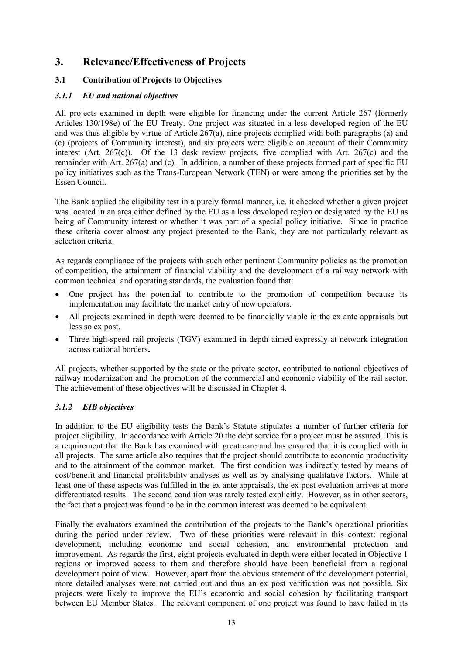# <span id="page-16-0"></span>**3. Relevance/Effectiveness of Projects**

# <span id="page-16-1"></span>**3.1 Contribution of Projects to Objectives**

### *3.1.1 EU and national objectives*

All projects examined in depth were eligible for financing under the current Article 267 (formerly Articles 130/198e) of the EU Treaty. One project was situated in a less developed region of the EU and was thus eligible by virtue of Article 267(a), nine projects complied with both paragraphs (a) and (c) (projects of Community interest), and six projects were eligible on account of their Community interest (Art. 267(c)). Of the 13 desk review projects, five complied with Art. 267(c) and the remainder with Art. 267(a) and (c). In addition, a number of these projects formed part of specific EU policy initiatives such as the Trans-European Network (TEN) or were among the priorities set by the Essen Council.

The Bank applied the eligibility test in a purely formal manner, i.e. it checked whether a given project was located in an area either defined by the EU as a less developed region or designated by the EU as being of Community interest or whether it was part of a special policy initiative. Since in practice these criteria cover almost any project presented to the Bank, they are not particularly relevant as selection criteria.

As regards compliance of the projects with such other pertinent Community policies as the promotion of competition, the attainment of financial viability and the development of a railway network with common technical and operating standards, the evaluation found that:

- One project has the potential to contribute to the promotion of competition because its implementation may facilitate the market entry of new operators.
- All projects examined in depth were deemed to be financially viable in the ex ante appraisals but less so ex post.
- Three high-speed rail projects (TGV) examined in depth aimed expressly at network integration across national borders**.**

All projects, whether supported by the state or the private sector, contributed to national objectives of railway modernization and the promotion of the commercial and economic viability of the rail sector. The achievement of these objectives will be discussed in Chapter 4.

# *3.1.2 EIB objectives*

In addition to the EU eligibility tests the Bank's Statute stipulates a number of further criteria for project eligibility. In accordance with Article 20 the debt service for a project must be assured. This is a requirement that the Bank has examined with great care and has ensured that it is complied with in all projects. The same article also requires that the project should contribute to economic productivity and to the attainment of the common market. The first condition was indirectly tested by means of cost/benefit and financial profitability analyses as well as by analysing qualitative factors. While at least one of these aspects was fulfilled in the ex ante appraisals, the ex post evaluation arrives at more differentiated results. The second condition was rarely tested explicitly. However, as in other sectors, the fact that a project was found to be in the common interest was deemed to be equivalent.

Finally the evaluators examined the contribution of the projects to the Bank's operational priorities during the period under review. Two of these priorities were relevant in this context: regional development, including economic and social cohesion, and environmental protection and improvement. As regards the first, eight projects evaluated in depth were either located in Objective 1 regions or improved access to them and therefore should have been beneficial from a regional development point of view. However, apart from the obvious statement of the development potential, more detailed analyses were not carried out and thus an ex post verification was not possible. Six projects were likely to improve the EU's economic and social cohesion by facilitating transport between EU Member States. The relevant component of one project was found to have failed in its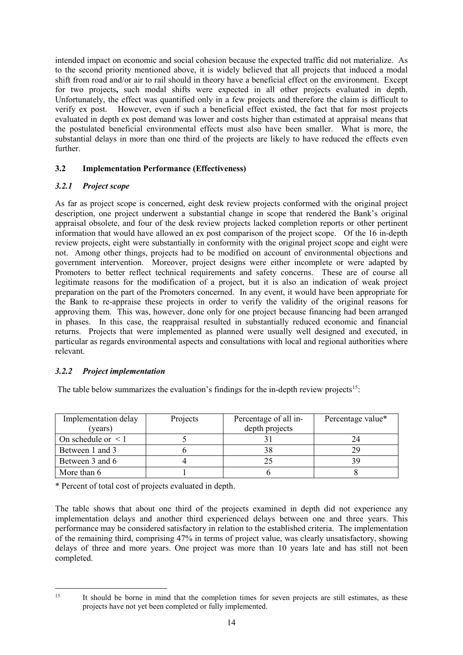intended impact on economic and social cohesion because the expected traffic did not materialize. As to the second priority mentioned above, it is widely believed that all projects that induced a modal shift from road and/or air to rail should in theory have a beneficial effect on the environment. Except for two projects**,** such modal shifts were expected in all other projects evaluated in depth. Unfortunately, the effect was quantified only in a few projects and therefore the claim is difficult to verify ex post. However, even if such a beneficial effect existed, the fact that for most projects evaluated in depth ex post demand was lower and costs higher than estimated at appraisal means that the postulated beneficial environmental effects must also have been smaller. What is more, the substantial delays in more than one third of the projects are likely to have reduced the effects even further.

# <span id="page-17-0"></span>**3.2 Implementation Performance (Effectiveness)**

# *3.2.1 Project scope*

As far as project scope is concerned, eight desk review projects conformed with the original project description, one project underwent a substantial change in scope that rendered the Bank's original appraisal obsolete, and four of the desk review projects lacked completion reports or other pertinent information that would have allowed an ex post comparison of the project scope. Of the 16 in-depth review projects, eight were substantially in conformity with the original project scope and eight were not. Among other things, projects had to be modified on account of environmental objections and government intervention. Moreover, project designs were either incomplete or were adapted by Promoters to better reflect technical requirements and safety concerns. These are of course all legitimate reasons for the modification of a project, but it is also an indication of weak project preparation on the part of the Promoters concerned. In any event, it would have been appropriate for the Bank to re-appraise these projects in order to verify the validity of the original reasons for approving them. This was, however, done only for one project because financing had been arranged in phases. In this case, the reappraisal resulted in substantially reduced economic and financial returns. Projects that were implemented as planned were usually well designed and executed, in particular as regards environmental aspects and consultations with local and regional authorities where relevant.

# *3.2.2 Project implementation*

The table below summarizes the evaluation's findings for the in-depth review projects<sup>[15](#page-17-1)</sup>:

| Implementation delay    | Projects | Percentage of all in- | Percentage value* |
|-------------------------|----------|-----------------------|-------------------|
| (years)                 |          | depth projects        |                   |
| On schedule or $\leq 1$ |          |                       |                   |
| Between 1 and 3         |          |                       |                   |
| Between 3 and 6         |          |                       |                   |
| More than 6             |          |                       |                   |

\* Percent of total cost of projects evaluated in depth.

The table shows that about one third of the projects examined in depth did not experience any implementation delays and another third experienced delays between one and three years. This performance may be considered satisfactory in relation to the established criteria. The implementation of the remaining third, comprising 47% in terms of project value, was clearly unsatisfactory, showing delays of three and more years. One project was more than 10 years late and has still not been completed.

<span id="page-17-1"></span><sup>&</sup>lt;sup>15</sup> It should be borne in mind that the completion times for seven projects are still estimates, as these projects have not yet been completed or fully implemented.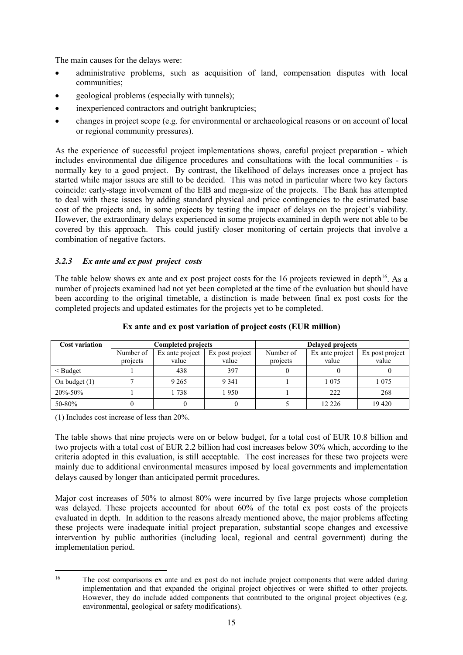The main causes for the delays were:

- administrative problems, such as acquisition of land, compensation disputes with local communities;
- geological problems (especially with tunnels);
- inexperienced contractors and outright bankruptcies;
- changes in project scope (e.g. for environmental or archaeological reasons or on account of local or regional community pressures).

As the experience of successful project implementations shows, careful project preparation - which includes environmental due diligence procedures and consultations with the local communities - is normally key to a good project. By contrast, the likelihood of delays increases once a project has started while major issues are still to be decided. This was noted in particular where two key factors coincide: early-stage involvement of the EIB and mega-size of the projects. The Bank has attempted to deal with these issues by adding standard physical and price contingencies to the estimated base cost of the projects and, in some projects by testing the impact of delays on the project's viability. However, the extraordinary delays experienced in some projects examined in depth were not able to be covered by this approach. This could justify closer monitoring of certain projects that involve a combination of negative factors.

#### *3.2.3 Ex ante and ex post project costs*

The table below shows ex ante and ex post project costs for the [16](#page-18-0) projects reviewed in depth<sup>16</sup>. As a number of projects examined had not yet been completed at the time of the evaluation but should have been according to the original timetable, a distinction is made between final ex post costs for the completed projects and updated estimates for the projects yet to be completed.

| <b>Cost variation</b> |                                                 | <b>Completed projects</b> |           | <b>Delayed projects</b> |                 |         |  |
|-----------------------|-------------------------------------------------|---------------------------|-----------|-------------------------|-----------------|---------|--|
|                       | Number of<br>Ex post project<br>Ex ante project |                           | Number of | Ex ante project         | Ex post project |         |  |
|                       | projects                                        | value                     | value     | projects                | value           | value   |  |
| $<$ Budget            |                                                 | 438                       | 397       |                         |                 |         |  |
| On budget $(1)$       |                                                 | 9 2 6 5                   | 9 3 4 1   |                         | 1 0 7 5         | 1 0 7 5 |  |
| 20%-50%               |                                                 | 1738                      | 1950      |                         | 222             | 268     |  |
| 50-80%                |                                                 |                           |           |                         | 12 2 2 6        | 19420   |  |

#### **Ex ante and ex post variation of project costs (EUR million)**

(1) Includes cost increase of less than 20%.

The table shows that nine projects were on or below budget, for a total cost of EUR 10.8 billion and two projects with a total cost of EUR 2.2 billion had cost increases below 30% which, according to the criteria adopted in this evaluation, is still acceptable. The cost increases for these two projects were mainly due to additional environmental measures imposed by local governments and implementation delays caused by longer than anticipated permit procedures.

Major cost increases of 50% to almost 80% were incurred by five large projects whose completion was delayed. These projects accounted for about 60% of the total ex post costs of the projects evaluated in depth. In addition to the reasons already mentioned above, the major problems affecting these projects were inadequate initial project preparation, substantial scope changes and excessive intervention by public authorities (including local, regional and central government) during the implementation period.

<span id="page-18-0"></span><sup>&</sup>lt;sup>16</sup> The cost comparisons ex ante and ex post do not include project components that were added during implementation and that expanded the original project objectives or were shifted to other projects. However, they do include added components that contributed to the original project objectives (e.g. environmental, geological or safety modifications).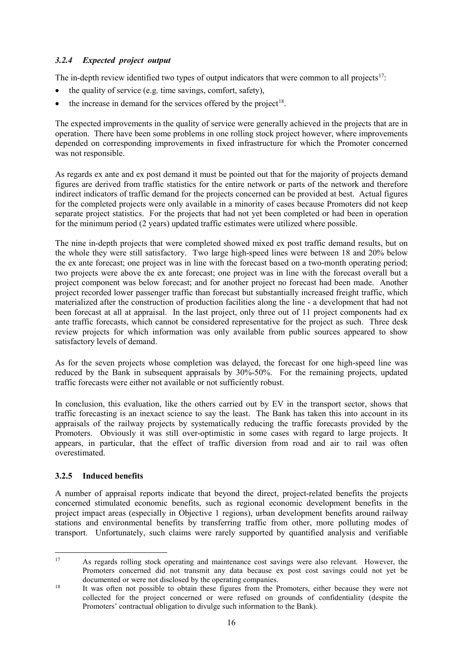# *3.2.4 Expected project output*

The in-depth review identified two types of output indicators that were common to all projects<sup>17</sup>:

- the quality of service (e.g. time savings, comfort, safety),
- the increase in demand for the services offered by the project<sup>[18](#page-19-1)</sup>.

The expected improvements in the quality of service were generally achieved in the projects that are in operation. There have been some problems in one rolling stock project however, where improvements depended on corresponding improvements in fixed infrastructure for which the Promoter concerned was not responsible.

As regards ex ante and ex post demand it must be pointed out that for the majority of projects demand figures are derived from traffic statistics for the entire network or parts of the network and therefore indirect indicators of traffic demand for the projects concerned can be provided at best. Actual figures for the completed projects were only available in a minority of cases because Promoters did not keep separate project statistics. For the projects that had not yet been completed or had been in operation for the minimum period (2 years) updated traffic estimates were utilized where possible.

The nine in-depth projects that were completed showed mixed ex post traffic demand results, but on the whole they were still satisfactory. Two large high-speed lines were between 18 and 20% below the ex ante forecast; one project was in line with the forecast based on a two-month operating period; two projects were above the ex ante forecast; one project was in line with the forecast overall but a project component was below forecast; and for another project no forecast had been made. Another project recorded lower passenger traffic than forecast but substantially increased freight traffic, which materialized after the construction of production facilities along the line - a development that had not been forecast at all at appraisal. In the last project, only three out of 11 project components had ex ante traffic forecasts, which cannot be considered representative for the project as such. Three desk review projects for which information was only available from public sources appeared to show satisfactory levels of demand.

As for the seven projects whose completion was delayed, the forecast for one high-speed line was reduced by the Bank in subsequent appraisals by 30%-50%. For the remaining projects, updated traffic forecasts were either not available or not sufficiently robust.

In conclusion, this evaluation, like the others carried out by EV in the transport sector, shows that traffic forecasting is an inexact science to say the least. The Bank has taken this into account in its appraisals of the railway projects by systematically reducing the traffic forecasts provided by the Promoters. Obviously it was still over-optimistic in some cases with regard to large projects. It appears, in particular, that the effect of traffic diversion from road and air to rail was often overestimated.

#### **3.2.5 Induced benefits**

A number of appraisal reports indicate that beyond the direct, project-related benefits the projects concerned stimulated economic benefits, such as regional economic development benefits in the project impact areas (especially in Objective 1 regions), urban development benefits around railway stations and environmental benefits by transferring traffic from other, more polluting modes of transport. Unfortunately, such claims were rarely supported by quantified analysis and verifiable

<span id="page-19-0"></span><sup>&</sup>lt;sup>17</sup> As regards rolling stock operating and maintenance cost savings were also relevant. However, the Promoters concerned did not transmit any data because ex post cost savings could not yet be documented or were not disclosed by the operating companies.<br><sup>18</sup> It was often not possible to obtain these figures from the Promoters, either because they were not

<span id="page-19-1"></span>collected for the project concerned or were refused on grounds of confidentiality (despite the Promoters' contractual obligation to divulge such information to the Bank).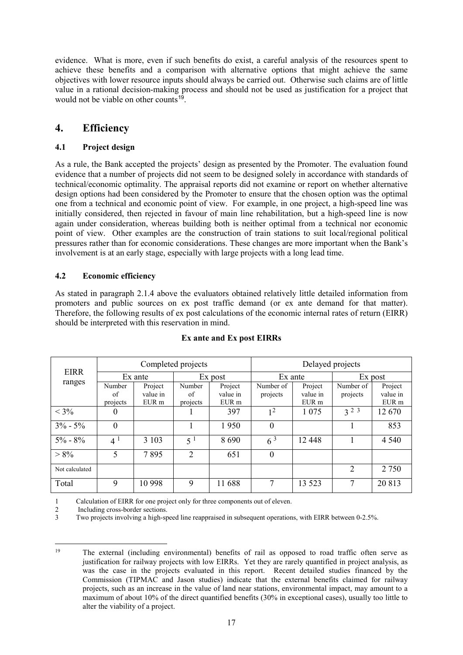evidence. What is more, even if such benefits do exist, a careful analysis of the resources spent to achieve these benefits and a comparison with alternative options that might achieve the same objectives with lower resource inputs should always be carried out. Otherwise such claims are of little value in a rational decision-making process and should not be used as justification for a project that would not be viable on other counts<sup> $19$ </sup>.

# <span id="page-20-0"></span>**4. Efficiency**

# <span id="page-20-1"></span>**4.1 Project design**

As a rule, the Bank accepted the projects' design as presented by the Promoter. The evaluation found evidence that a number of projects did not seem to be designed solely in accordance with standards of technical/economic optimality. The appraisal reports did not examine or report on whether alternative design options had been considered by the Promoter to ensure that the chosen option was the optimal one from a technical and economic point of view. For example, in one project, a high-speed line was initially considered, then rejected in favour of main line rehabilitation, but a high-speed line is now again under consideration, whereas building both is neither optimal from a technical nor economic point of view. Other examples are the construction of train stations to suit local/regional political pressures rather than for economic considerations. These changes are more important when the Bank's involvement is at an early stage, especially with large projects with a long lead time.

# <span id="page-20-2"></span>**4.2 Economic efficiency**

As stated in paragraph 2.1.4 above the evaluators obtained relatively little detailed information from promoters and public sources on ex post traffic demand (or ex ante demand for that matter). Therefore, the following results of ex post calculations of the economic internal rates of return (EIRR) should be interpreted with this reservation in mind.

| <b>EIRR</b>    | Completed projects |          |                  |          | Delayed projects |          |           |          |
|----------------|--------------------|----------|------------------|----------|------------------|----------|-----------|----------|
|                | Ex ante            |          | Ex post          |          | Ex ante          |          | Ex post   |          |
| ranges         | Number             | Project  | Number           | Project  | Number of        | Project  | Number of | Project  |
|                | of                 | value in | of               | value in | projects         | value in | projects  | value in |
|                | projects           | EUR m    | projects         | EUR m    |                  | EUR m    |           | EUR m    |
| $< 3\%$        | 0                  |          |                  | 397      | 1 <sup>2</sup>   | 1 0 7 5  | $3^{2}$   | 12670    |
| $3\% - 5\%$    | 0                  |          |                  | 1950     | $\theta$         |          |           | 853      |
| $5\% - 8\%$    | $4^1$              | 3 1 0 3  | $5^{\mathrm{1}}$ | 8690     | $6^{3}$          | 12 4 48  |           | 4 5 4 0  |
| $> 8\%$        | 5                  | 7895     | $\overline{2}$   | 651      | $\theta$         |          |           |          |
| Not calculated |                    |          |                  |          |                  |          | 2         | 2 7 5 0  |
| Total          | 9                  | 10 998   | 9                | 11 688   | 7                | 13 5 23  | 7         | 20 813   |

#### **Ex ante and Ex post EIRRs**

1 Calculation of EIRR for one project only for three components out of eleven.

2 Including cross-border sections.<br>3 Two projects involving a high-sp

Two projects involving a high-speed line reappraised in subsequent operations, with EIRR between 0-2.5%.

<span id="page-20-3"></span> <sup>19</sup> The external (including environmental) benefits of rail as opposed to road traffic often serve as justification for railway projects with low EIRRs. Yet they are rarely quantified in project analysis, as was the case in the projects evaluated in this report. Recent detailed studies financed by the Commission (TIPMAC and Jason studies) indicate that the external benefits claimed for railway projects, such as an increase in the value of land near stations, environmental impact, may amount to a maximum of about 10% of the direct quantified benefits (30% in exceptional cases), usually too little to alter the viability of a project.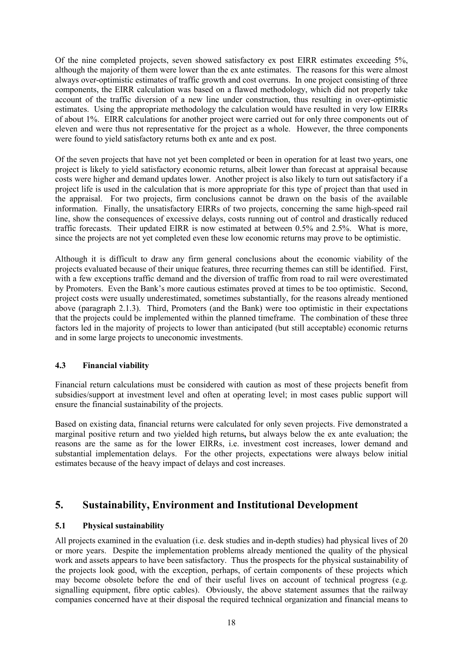Of the nine completed projects, seven showed satisfactory ex post EIRR estimates exceeding 5%, although the majority of them were lower than the ex ante estimates. The reasons for this were almost always over-optimistic estimates of traffic growth and cost overruns. In one project consisting of three components, the EIRR calculation was based on a flawed methodology, which did not properly take account of the traffic diversion of a new line under construction, thus resulting in over-optimistic estimates. Using the appropriate methodology the calculation would have resulted in very low EIRRs of about 1%. EIRR calculations for another project were carried out for only three components out of eleven and were thus not representative for the project as a whole. However, the three components were found to yield satisfactory returns both ex ante and ex post.

Of the seven projects that have not yet been completed or been in operation for at least two years, one project is likely to yield satisfactory economic returns, albeit lower than forecast at appraisal because costs were higher and demand updates lower. Another project is also likely to turn out satisfactory if a project life is used in the calculation that is more appropriate for this type of project than that used in the appraisal. For two projects, firm conclusions cannot be drawn on the basis of the available information. Finally, the unsatisfactory EIRRs of two projects, concerning the same high-speed rail line, show the consequences of excessive delays, costs running out of control and drastically reduced traffic forecasts. Their updated EIRR is now estimated at between 0.5% and 2.5%. What is more, since the projects are not yet completed even these low economic returns may prove to be optimistic.

Although it is difficult to draw any firm general conclusions about the economic viability of the projects evaluated because of their unique features, three recurring themes can still be identified. First, with a few exceptions traffic demand and the diversion of traffic from road to rail were overestimated by Promoters. Even the Bank's more cautious estimates proved at times to be too optimistic. Second, project costs were usually underestimated, sometimes substantially, for the reasons already mentioned above (paragraph 2.1.3). Third, Promoters (and the Bank) were too optimistic in their expectations that the projects could be implemented within the planned timeframe. The combination of these three factors led in the majority of projects to lower than anticipated (but still acceptable) economic returns and in some large projects to uneconomic investments.

#### <span id="page-21-0"></span>**4.3 Financial viability**

Financial return calculations must be considered with caution as most of these projects benefit from subsidies/support at investment level and often at operating level; in most cases public support will ensure the financial sustainability of the projects.

Based on existing data, financial returns were calculated for only seven projects. Five demonstrated a marginal positive return and two yielded high returns**,** but always below the ex ante evaluation; the reasons are the same as for the lower EIRRs, i.e. investment cost increases, lower demand and substantial implementation delays. For the other projects, expectations were always below initial estimates because of the heavy impact of delays and cost increases.

# <span id="page-21-1"></span>**5. Sustainability, Environment and Institutional Development**

#### <span id="page-21-2"></span>**5.1 Physical sustainability**

All projects examined in the evaluation (i.e. desk studies and in-depth studies) had physical lives of 20 or more years. Despite the implementation problems already mentioned the quality of the physical work and assets appears to have been satisfactory. Thus the prospects for the physical sustainability of the projects look good, with the exception, perhaps, of certain components of these projects which may become obsolete before the end of their useful lives on account of technical progress (e.g. signalling equipment, fibre optic cables). Obviously, the above statement assumes that the railway companies concerned have at their disposal the required technical organization and financial means to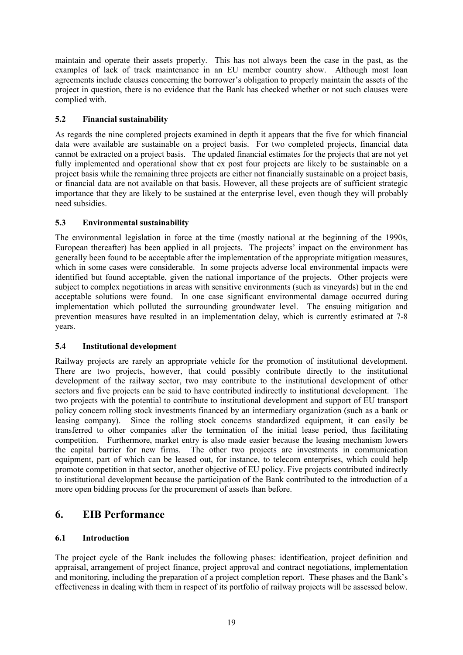maintain and operate their assets properly. This has not always been the case in the past, as the examples of lack of track maintenance in an EU member country show. Although most loan agreements include clauses concerning the borrower's obligation to properly maintain the assets of the project in question, there is no evidence that the Bank has checked whether or not such clauses were complied with.

# <span id="page-22-0"></span>**5.2 Financial sustainability**

As regards the nine completed projects examined in depth it appears that the five for which financial data were available are sustainable on a project basis. For two completed projects, financial data cannot be extracted on a project basis. The updated financial estimates for the projects that are not yet fully implemented and operational show that ex post four projects are likely to be sustainable on a project basis while the remaining three projects are either not financially sustainable on a project basis, or financial data are not available on that basis. However, all these projects are of sufficient strategic importance that they are likely to be sustained at the enterprise level, even though they will probably need subsidies.

# <span id="page-22-1"></span>**5.3 Environmental sustainability**

The environmental legislation in force at the time (mostly national at the beginning of the 1990s, European thereafter) has been applied in all projects. The projects' impact on the environment has generally been found to be acceptable after the implementation of the appropriate mitigation measures, which in some cases were considerable. In some projects adverse local environmental impacts were identified but found acceptable, given the national importance of the projects. Other projects were subject to complex negotiations in areas with sensitive environments (such as vineyards) but in the end acceptable solutions were found. In one case significant environmental damage occurred during implementation which polluted the surrounding groundwater level. The ensuing mitigation and prevention measures have resulted in an implementation delay, which is currently estimated at 7-8 years.

#### <span id="page-22-2"></span>**5.4 Institutional development**

Railway projects are rarely an appropriate vehicle for the promotion of institutional development. There are two projects, however, that could possibly contribute directly to the institutional development of the railway sector, two may contribute to the institutional development of other sectors and five projects can be said to have contributed indirectly to institutional development. The two projects with the potential to contribute to institutional development and support of EU transport policy concern rolling stock investments financed by an intermediary organization (such as a bank or leasing company). Since the rolling stock concerns standardized equipment, it can easily be transferred to other companies after the termination of the initial lease period, thus facilitating competition. Furthermore, market entry is also made easier because the leasing mechanism lowers the capital barrier for new firms. The other two projects are investments in communication equipment, part of which can be leased out, for instance, to telecom enterprises, which could help promote competition in that sector, another objective of EU policy. Five projects contributed indirectly to institutional development because the participation of the Bank contributed to the introduction of a more open bidding process for the procurement of assets than before.

# <span id="page-22-3"></span>**6. EIB Performance**

# <span id="page-22-4"></span>**6.1 Introduction**

The project cycle of the Bank includes the following phases: identification, project definition and appraisal, arrangement of project finance, project approval and contract negotiations, implementation and monitoring, including the preparation of a project completion report. These phases and the Bank's effectiveness in dealing with them in respect of its portfolio of railway projects will be assessed below.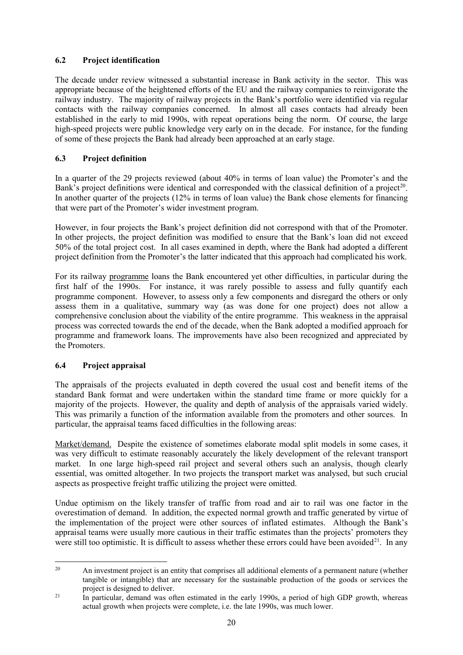# <span id="page-23-0"></span>**6.2 Project identification**

The decade under review witnessed a substantial increase in Bank activity in the sector. This was appropriate because of the heightened efforts of the EU and the railway companies to reinvigorate the railway industry. The majority of railway projects in the Bank's portfolio were identified via regular contacts with the railway companies concerned. In almost all cases contacts had already been established in the early to mid 1990s, with repeat operations being the norm. Of course, the large high-speed projects were public knowledge very early on in the decade. For instance, for the funding of some of these projects the Bank had already been approached at an early stage.

# <span id="page-23-1"></span>**6.3 Project definition**

In a quarter of the 29 projects reviewed (about 40% in terms of loan value) the Promoter's and the Bank's project definitions were identical and corresponded with the classical definition of a project<sup>20</sup>. In another quarter of the projects (12% in terms of loan value) the Bank chose elements for financing that were part of the Promoter's wider investment program.

However, in four projects the Bank's project definition did not correspond with that of the Promoter. In other projects, the project definition was modified to ensure that the Bank's loan did not exceed 50% of the total project cost. In all cases examined in depth, where the Bank had adopted a different project definition from the Promoter's the latter indicated that this approach had complicated his work.

For its railway programme loans the Bank encountered yet other difficulties, in particular during the first half of the 1990s. For instance, it was rarely possible to assess and fully quantify each programme component. However, to assess only a few components and disregard the others or only assess them in a qualitative, summary way (as was done for one project) does not allow a comprehensive conclusion about the viability of the entire programme. This weakness in the appraisal process was corrected towards the end of the decade, when the Bank adopted a modified approach for programme and framework loans. The improvements have also been recognized and appreciated by the Promoters.

#### <span id="page-23-2"></span>**6.4 Project appraisal**

The appraisals of the projects evaluated in depth covered the usual cost and benefit items of the standard Bank format and were undertaken within the standard time frame or more quickly for a majority of the projects. However, the quality and depth of analysis of the appraisals varied widely. This was primarily a function of the information available from the promoters and other sources. In particular, the appraisal teams faced difficulties in the following areas:

Market/demand. Despite the existence of sometimes elaborate modal split models in some cases, it was very difficult to estimate reasonably accurately the likely development of the relevant transport market. In one large high-speed rail project and several others such an analysis, though clearly essential, was omitted altogether. In two projects the transport market was analysed, but such crucial aspects as prospective freight traffic utilizing the project were omitted.

Undue optimism on the likely transfer of traffic from road and air to rail was one factor in the overestimation of demand. In addition, the expected normal growth and traffic generated by virtue of the implementation of the project were other sources of inflated estimates. Although the Bank's appraisal teams were usually more cautious in their traffic estimates than the projects' promoters they were still too optimistic. It is difficult to assess whether these errors could have been avoided<sup>[21](#page-23-4)</sup>. In any

<span id="page-23-3"></span><sup>&</sup>lt;sup>20</sup> An investment project is an entity that comprises all additional elements of a permanent nature (whether tangible or intangible) that are necessary for the sustainable production of the goods or services the project is designed to deliver.<br><sup>21</sup> In particular, demand was often estimated in the early 1990s, a period of high GDP growth, whereas

<span id="page-23-4"></span>actual growth when projects were complete, i.e. the late 1990s, was much lower.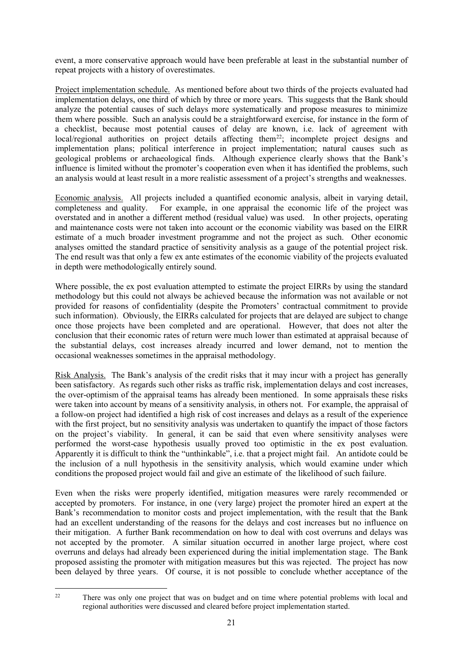event, a more conservative approach would have been preferable at least in the substantial number of repeat projects with a history of overestimates.

Project implementation schedule. As mentioned before about two thirds of the projects evaluated had implementation delays, one third of which by three or more years. This suggests that the Bank should analyze the potential causes of such delays more systematically and propose measures to minimize them where possible. Such an analysis could be a straightforward exercise, for instance in the form of a checklist, because most potential causes of delay are known, i.e. lack of agreement with local/regional authorities on project details affecting them<sup>22</sup>; incomplete project designs and implementation plans; political interference in project implementation; natural causes such as geological problems or archaeological finds. Although experience clearly shows that the Bank's influence is limited without the promoter's cooperation even when it has identified the problems, such an analysis would at least result in a more realistic assessment of a project's strengths and weaknesses.

Economic analysis. All projects included a quantified economic analysis, albeit in varying detail, completeness and quality. For example, in one appraisal the economic life of the project was overstated and in another a different method (residual value) was used. In other projects, operating and maintenance costs were not taken into account or the economic viability was based on the EIRR estimate of a much broader investment programme and not the project as such. Other economic analyses omitted the standard practice of sensitivity analysis as a gauge of the potential project risk. The end result was that only a few ex ante estimates of the economic viability of the projects evaluated in depth were methodologically entirely sound.

Where possible, the ex post evaluation attempted to estimate the project EIRRs by using the standard methodology but this could not always be achieved because the information was not available or not provided for reasons of confidentiality (despite the Promoters' contractual commitment to provide such information). Obviously, the EIRRs calculated for projects that are delayed are subject to change once those projects have been completed and are operational. However, that does not alter the conclusion that their economic rates of return were much lower than estimated at appraisal because of the substantial delays, cost increases already incurred and lower demand, not to mention the occasional weaknesses sometimes in the appraisal methodology.

Risk Analysis. The Bank's analysis of the credit risks that it may incur with a project has generally been satisfactory. As regards such other risks as traffic risk, implementation delays and cost increases, the over-optimism of the appraisal teams has already been mentioned. In some appraisals these risks were taken into account by means of a sensitivity analysis, in others not. For example, the appraisal of a follow-on project had identified a high risk of cost increases and delays as a result of the experience with the first project, but no sensitivity analysis was undertaken to quantify the impact of those factors on the project's viability. In general, it can be said that even where sensitivity analyses were performed the worst-case hypothesis usually proved too optimistic in the ex post evaluation. Apparently it is difficult to think the "unthinkable", i.e. that a project might fail. An antidote could be the inclusion of a null hypothesis in the sensitivity analysis, which would examine under which conditions the proposed project would fail and give an estimate of the likelihood of such failure.

Even when the risks were properly identified, mitigation measures were rarely recommended or accepted by promoters. For instance, in one (very large) project the promoter hired an expert at the Bank's recommendation to monitor costs and project implementation, with the result that the Bank had an excellent understanding of the reasons for the delays and cost increases but no influence on their mitigation. A further Bank recommendation on how to deal with cost overruns and delays was not accepted by the promoter. A similar situation occurred in another large project, where cost overruns and delays had already been experienced during the initial implementation stage. The Bank proposed assisting the promoter with mitigation measures but this was rejected. The project has now been delayed by three years. Of course, it is not possible to conclude whether acceptance of the

<span id="page-24-0"></span><sup>&</sup>lt;sup>22</sup> There was only one project that was on budget and on time where potential problems with local and regional authorities were discussed and cleared before project implementation started.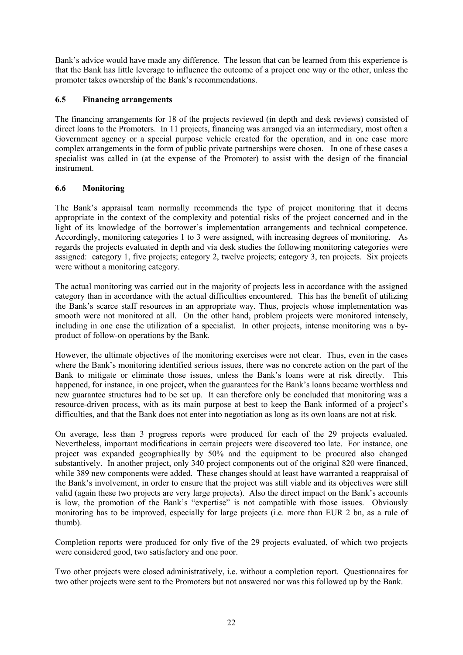Bank's advice would have made any difference. The lesson that can be learned from this experience is that the Bank has little leverage to influence the outcome of a project one way or the other, unless the promoter takes ownership of the Bank's recommendations.

### <span id="page-25-0"></span>**6.5 Financing arrangements**

The financing arrangements for 18 of the projects reviewed (in depth and desk reviews) consisted of direct loans to the Promoters. In 11 projects, financing was arranged via an intermediary, most often a Government agency or a special purpose vehicle created for the operation, and in one case more complex arrangements in the form of public private partnerships were chosen. In one of these cases a specialist was called in (at the expense of the Promoter) to assist with the design of the financial instrument.

# <span id="page-25-1"></span>**6.6 Monitoring**

The Bank's appraisal team normally recommends the type of project monitoring that it deems appropriate in the context of the complexity and potential risks of the project concerned and in the light of its knowledge of the borrower's implementation arrangements and technical competence. Accordingly, monitoring categories 1 to 3 were assigned, with increasing degrees of monitoring. As regards the projects evaluated in depth and via desk studies the following monitoring categories were assigned: category 1, five projects; category 2, twelve projects; category 3, ten projects. Six projects were without a monitoring category.

The actual monitoring was carried out in the majority of projects less in accordance with the assigned category than in accordance with the actual difficulties encountered. This has the benefit of utilizing the Bank's scarce staff resources in an appropriate way. Thus, projects whose implementation was smooth were not monitored at all. On the other hand, problem projects were monitored intensely, including in one case the utilization of a specialist. In other projects, intense monitoring was a byproduct of follow-on operations by the Bank.

However, the ultimate objectives of the monitoring exercises were not clear. Thus, even in the cases where the Bank's monitoring identified serious issues, there was no concrete action on the part of the Bank to mitigate or eliminate those issues, unless the Bank's loans were at risk directly. This happened, for instance, in one project**,** when the guarantees for the Bank's loans became worthless and new guarantee structures had to be set up. It can therefore only be concluded that monitoring was a resource-driven process, with as its main purpose at best to keep the Bank informed of a project's difficulties, and that the Bank does not enter into negotiation as long as its own loans are not at risk.

On average, less than 3 progress reports were produced for each of the 29 projects evaluated. Nevertheless, important modifications in certain projects were discovered too late. For instance, one project was expanded geographically by 50% and the equipment to be procured also changed substantively. In another project, only 340 project components out of the original 820 were financed, while 389 new components were added. These changes should at least have warranted a reappraisal of the Bank's involvement, in order to ensure that the project was still viable and its objectives were still valid (again these two projects are very large projects). Also the direct impact on the Bank's accounts is low, the promotion of the Bank's "expertise" is not compatible with those issues. Obviously monitoring has to be improved, especially for large projects (i.e. more than EUR 2 bn, as a rule of thumb).

Completion reports were produced for only five of the 29 projects evaluated, of which two projects were considered good, two satisfactory and one poor.

Two other projects were closed administratively, i.e. without a completion report. Questionnaires for two other projects were sent to the Promoters but not answered nor was this followed up by the Bank.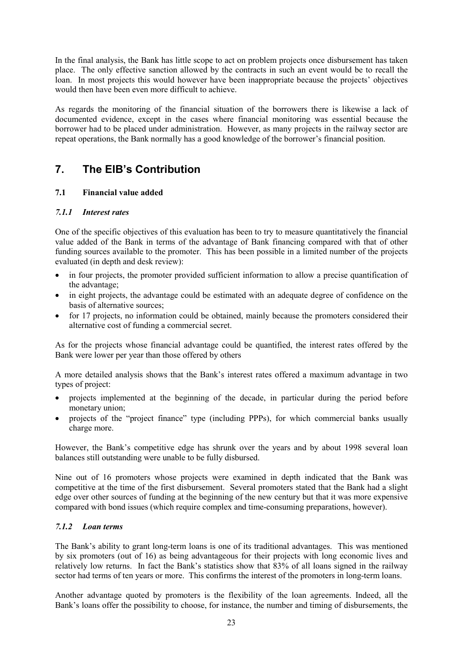In the final analysis, the Bank has little scope to act on problem projects once disbursement has taken place. The only effective sanction allowed by the contracts in such an event would be to recall the loan. In most projects this would however have been inappropriate because the projects' objectives would then have been even more difficult to achieve.

As regards the monitoring of the financial situation of the borrowers there is likewise a lack of documented evidence, except in the cases where financial monitoring was essential because the borrower had to be placed under administration. However, as many projects in the railway sector are repeat operations, the Bank normally has a good knowledge of the borrower's financial position.

# <span id="page-26-0"></span>**7. The EIB's Contribution**

# <span id="page-26-1"></span>**7.1 Financial value added**

# *7.1.1 Interest rates*

One of the specific objectives of this evaluation has been to try to measure quantitatively the financial value added of the Bank in terms of the advantage of Bank financing compared with that of other funding sources available to the promoter. This has been possible in a limited number of the projects evaluated (in depth and desk review):

- in four projects, the promoter provided sufficient information to allow a precise quantification of the advantage;
- in eight projects, the advantage could be estimated with an adequate degree of confidence on the basis of alternative sources;
- for 17 projects, no information could be obtained, mainly because the promoters considered their alternative cost of funding a commercial secret.

As for the projects whose financial advantage could be quantified, the interest rates offered by the Bank were lower per year than those offered by others

A more detailed analysis shows that the Bank's interest rates offered a maximum advantage in two types of project:

- projects implemented at the beginning of the decade, in particular during the period before monetary union;
- projects of the "project finance" type (including PPPs), for which commercial banks usually charge more.

However, the Bank's competitive edge has shrunk over the years and by about 1998 several loan balances still outstanding were unable to be fully disbursed.

Nine out of 16 promoters whose projects were examined in depth indicated that the Bank was competitive at the time of the first disbursement. Several promoters stated that the Bank had a slight edge over other sources of funding at the beginning of the new century but that it was more expensive compared with bond issues (which require complex and time-consuming preparations, however).

#### *7.1.2 Loan terms*

The Bank's ability to grant long-term loans is one of its traditional advantages. This was mentioned by six promoters (out of 16) as being advantageous for their projects with long economic lives and relatively low returns. In fact the Bank's statistics show that 83% of all loans signed in the railway sector had terms of ten years or more. This confirms the interest of the promoters in long-term loans.

Another advantage quoted by promoters is the flexibility of the loan agreements. Indeed, all the Bank's loans offer the possibility to choose, for instance, the number and timing of disbursements, the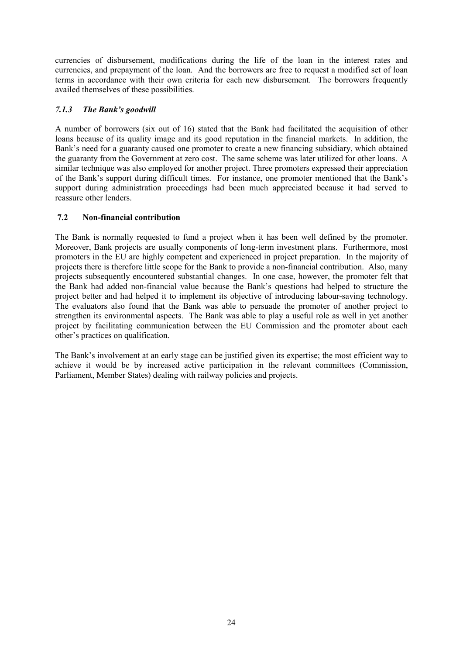currencies of disbursement, modifications during the life of the loan in the interest rates and currencies, and prepayment of the loan. And the borrowers are free to request a modified set of loan terms in accordance with their own criteria for each new disbursement. The borrowers frequently availed themselves of these possibilities.

### *7.1.3 The Bank's goodwill*

A number of borrowers (six out of 16) stated that the Bank had facilitated the acquisition of other loans because of its quality image and its good reputation in the financial markets. In addition, the Bank's need for a guaranty caused one promoter to create a new financing subsidiary, which obtained the guaranty from the Government at zero cost. The same scheme was later utilized for other loans. A similar technique was also employed for another project. Three promoters expressed their appreciation of the Bank's support during difficult times. For instance, one promoter mentioned that the Bank's support during administration proceedings had been much appreciated because it had served to reassure other lenders.

#### <span id="page-27-0"></span>**7.2 Non-financial contribution**

The Bank is normally requested to fund a project when it has been well defined by the promoter. Moreover, Bank projects are usually components of long-term investment plans. Furthermore, most promoters in the EU are highly competent and experienced in project preparation. In the majority of projects there is therefore little scope for the Bank to provide a non-financial contribution. Also, many projects subsequently encountered substantial changes. In one case, however, the promoter felt that the Bank had added non-financial value because the Bank's questions had helped to structure the project better and had helped it to implement its objective of introducing labour-saving technology. The evaluators also found that the Bank was able to persuade the promoter of another project to strengthen its environmental aspects. The Bank was able to play a useful role as well in yet another project by facilitating communication between the EU Commission and the promoter about each other's practices on qualification.

The Bank's involvement at an early stage can be justified given its expertise; the most efficient way to achieve it would be by increased active participation in the relevant committees (Commission, Parliament, Member States) dealing with railway policies and projects.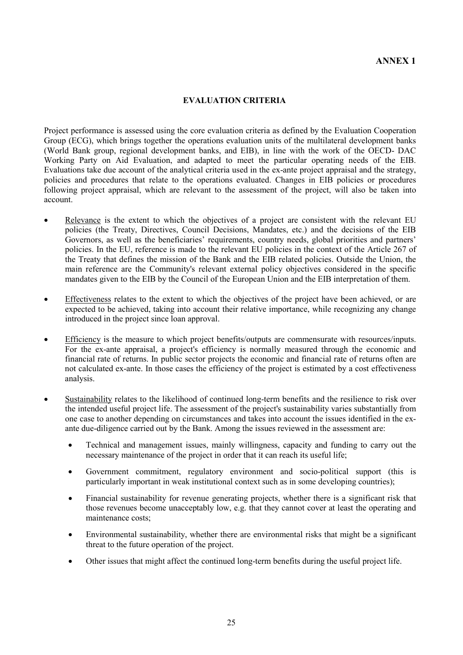#### **EVALUATION CRITERIA**

Project performance is assessed using the core evaluation criteria as defined by the Evaluation Cooperation Group (ECG), which brings together the operations evaluation units of the multilateral development banks (World Bank group, regional development banks, and EIB), in line with the work of the OECD- DAC Working Party on Aid Evaluation, and adapted to meet the particular operating needs of the EIB. Evaluations take due account of the analytical criteria used in the ex-ante project appraisal and the strategy, policies and procedures that relate to the operations evaluated. Changes in EIB policies or procedures following project appraisal, which are relevant to the assessment of the project, will also be taken into account.

- Relevance is the extent to which the objectives of a project are consistent with the relevant EU policies (the Treaty, Directives, Council Decisions, Mandates, etc.) and the decisions of the EIB Governors, as well as the beneficiaries' requirements, country needs, global priorities and partners' policies. In the EU, reference is made to the relevant EU policies in the context of the Article 267 of the Treaty that defines the mission of the Bank and the EIB related policies. Outside the Union, the main reference are the Community's relevant external policy objectives considered in the specific mandates given to the EIB by the Council of the European Union and the EIB interpretation of them.
- Effectiveness relates to the extent to which the objectives of the project have been achieved, or are expected to be achieved, taking into account their relative importance, while recognizing any change introduced in the project since loan approval.
- Efficiency is the measure to which project benefits/outputs are commensurate with resources/inputs. For the ex-ante appraisal, a project's efficiency is normally measured through the economic and financial rate of returns. In public sector projects the economic and financial rate of returns often are not calculated ex-ante. In those cases the efficiency of the project is estimated by a cost effectiveness analysis.
- Sustainability relates to the likelihood of continued long-term benefits and the resilience to risk over the intended useful project life. The assessment of the project's sustainability varies substantially from one case to another depending on circumstances and takes into account the issues identified in the exante due-diligence carried out by the Bank. Among the issues reviewed in the assessment are:
	- Technical and management issues, mainly willingness, capacity and funding to carry out the necessary maintenance of the project in order that it can reach its useful life;
	- Government commitment, regulatory environment and socio-political support (this is particularly important in weak institutional context such as in some developing countries);
	- Financial sustainability for revenue generating projects, whether there is a significant risk that those revenues become unacceptably low, e.g. that they cannot cover at least the operating and maintenance costs;
	- Environmental sustainability, whether there are environmental risks that might be a significant threat to the future operation of the project.
	- Other issues that might affect the continued long-term benefits during the useful project life.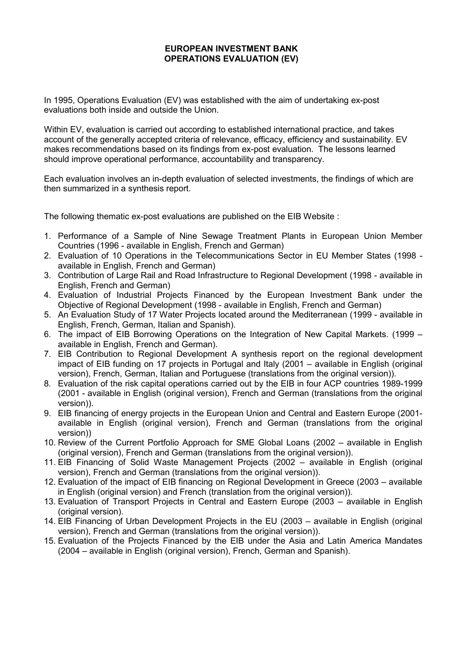### **EUROPEAN INVESTMENT BANK OPERATIONS EVALUATION (EV)**

In 1995, Operations Evaluation (EV) was established with the aim of undertaking ex-post evaluations both inside and outside the Union.

Within EV, evaluation is carried out according to established international practice, and takes account of the generally accepted criteria of relevance, efficacy, efficiency and sustainability. EV makes recommendations based on its findings from ex-post evaluation. The lessons learned should improve operational performance, accountability and transparency.

Each evaluation involves an in-depth evaluation of selected investments, the findings of which are then summarized in a synthesis report.

The following thematic ex-post evaluations are published on the EIB Website :

- 1. Performance of a Sample of Nine Sewage Treatment Plants in European Union Member Countries (1996 - available in English, French and German)
- 2. Evaluation of 10 Operations in the Telecommunications Sector in EU Member States (1998 available in English, French and German)
- 3. Contribution of Large Rail and Road Infrastructure to Regional Development (1998 available in English, French and German)
- 4. Evaluation of Industrial Projects Financed by the European Investment Bank under the Objective of Regional Development (1998 - available in English, French and German)
- 5. An Evaluation Study of 17 Water Projects located around the Mediterranean (1999 available in English, French, German, Italian and Spanish).
- 6. The impact of EIB Borrowing Operations on the Integration of New Capital Markets. (1999 available in English, French and German).
- 7. EIB Contribution to Regional Development A synthesis report on the regional development impact of EIB funding on 17 projects in Portugal and Italy (2001 – available in English (original version), French, German, Italian and Portuguese (translations from the original version)).
- 8. Evaluation of the risk capital operations carried out by the EIB in four ACP countries 1989-1999 (2001 - available in English (original version), French and German (translations from the original version)).
- 9. EIB financing of energy projects in the European Union and Central and Eastern Europe (2001 available in English (original version), French and German (translations from the original version))
- 10. Review of the Current Portfolio Approach for SME Global Loans (2002 available in English (original version), French and German (translations from the original version)).
- 11. EIB Financing of Solid Waste Management Projects (2002 available in English (original version), French and German (translations from the original version)).
- 12. Evaluation of the impact of EIB financing on Regional Development in Greece (2003 available in English (original version) and French (translation from the original version)).
- 13. Evaluation of Transport Projects in Central and Eastern Europe (2003 available in English (original version).
- 14. EIB Financing of Urban Development Projects in the EU (2003 available in English (original version), French and German (translations from the original version)).
- 15. Evaluation of the Projects Financed by the EIB under the Asia and Latin America Mandates (2004 – available in English (original version), French, German and Spanish).